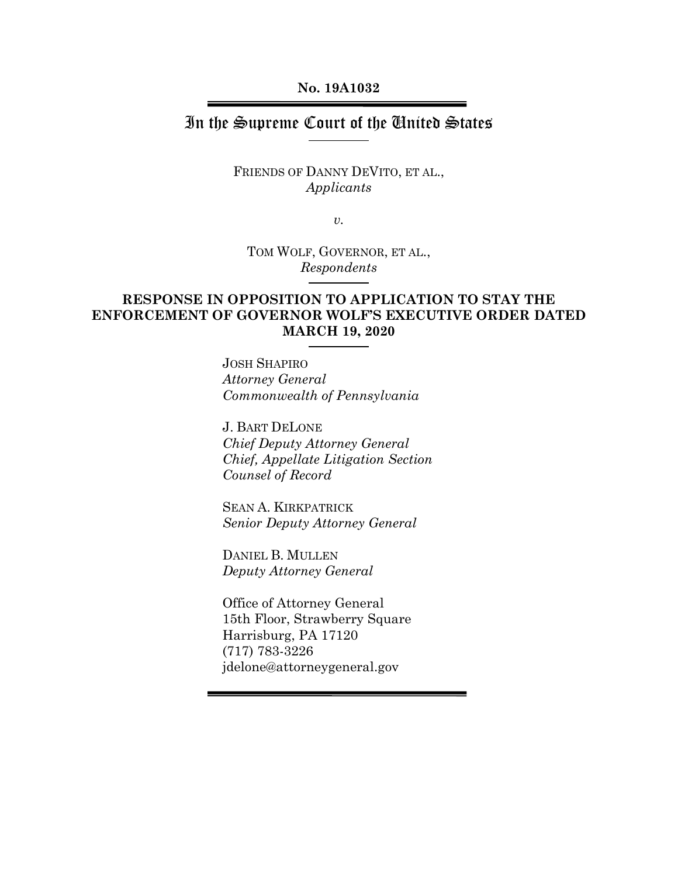#### **No. 19A1032**

## In the Supreme Court of the United States

### FRIENDS OF DANNY DEVITO, ET AL., *Applicants*

*v.*

TOM WOLF, GOVERNOR, ET AL., *Respondents*

## **RESPONSE IN OPPOSITION TO APPLICATION TO STAY THE ENFORCEMENT OF GOVERNOR WOLF'S EXECUTIVE ORDER DATED MARCH 19, 2020**

JOSH SHAPIRO *Attorney General Commonwealth of Pennsylvania*

J. BART DELONE *Chief Deputy Attorney General Chief, Appellate Litigation Section Counsel of Record*

SEAN A. KIRKPATRICK *Senior Deputy Attorney General*

DANIEL B. MULLEN *Deputy Attorney General*

Office of Attorney General 15th Floor, Strawberry Square Harrisburg, PA 17120 (717) 783-3226 jdelone@attorneygeneral.gov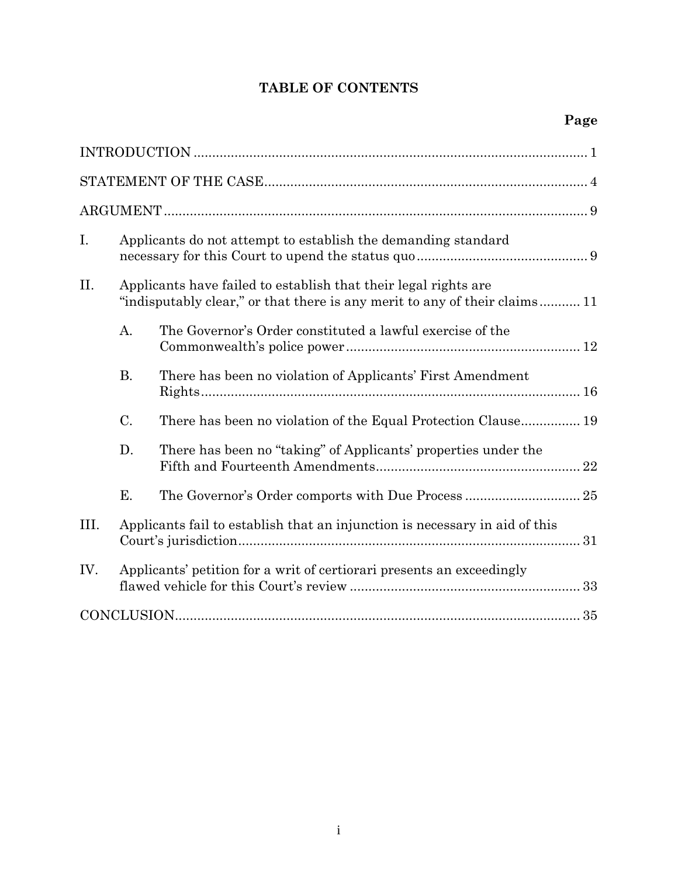# **TABLE OF CONTENTS**

| I.   | Applicants do not attempt to establish the demanding standard |                                                                                                                                              |  |  |
|------|---------------------------------------------------------------|----------------------------------------------------------------------------------------------------------------------------------------------|--|--|
| II.  |                                                               | Applicants have failed to establish that their legal rights are<br>"indisputably clear," or that there is any merit to any of their claims11 |  |  |
|      | A.                                                            | The Governor's Order constituted a lawful exercise of the                                                                                    |  |  |
|      | <b>B.</b>                                                     | There has been no violation of Applicants' First Amendment                                                                                   |  |  |
|      | C.                                                            | There has been no violation of the Equal Protection Clause 19                                                                                |  |  |
|      | D.                                                            | There has been no "taking" of Applicants' properties under the                                                                               |  |  |
|      | Ε.                                                            |                                                                                                                                              |  |  |
| III. |                                                               | Applicants fail to establish that an injunction is necessary in aid of this                                                                  |  |  |
| IV.  |                                                               | Applicants' petition for a writ of certiorari presents an exceedingly                                                                        |  |  |
|      |                                                               |                                                                                                                                              |  |  |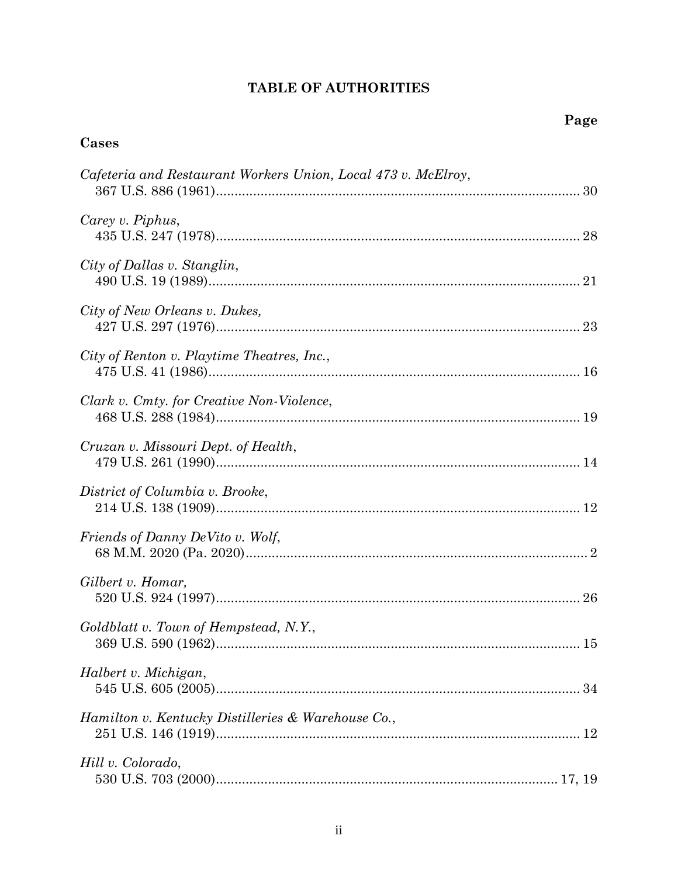# **TABLE OF AUTHORITIES**

# Cases

| Cafeteria and Restaurant Workers Union, Local 473 v. McElroy, |  |
|---------------------------------------------------------------|--|
| Carey v. Piphus,                                              |  |
| City of Dallas v. Stanglin,                                   |  |
| City of New Orleans v. Dukes,                                 |  |
| City of Renton v. Playtime Theatres, Inc.,                    |  |
| Clark v. Cmty. for Creative Non-Violence,                     |  |
| Cruzan v. Missouri Dept. of Health,                           |  |
| District of Columbia v. Brooke,                               |  |
| Friends of Danny DeVito v. Wolf,                              |  |
| Gilbert v. Homar,                                             |  |
| Goldblatt v. Town of Hempstead, N.Y.,                         |  |
| Halbert v. Michigan,                                          |  |
| Hamilton v. Kentucky Distilleries & Warehouse Co.,            |  |
| Hill v. Colorado,                                             |  |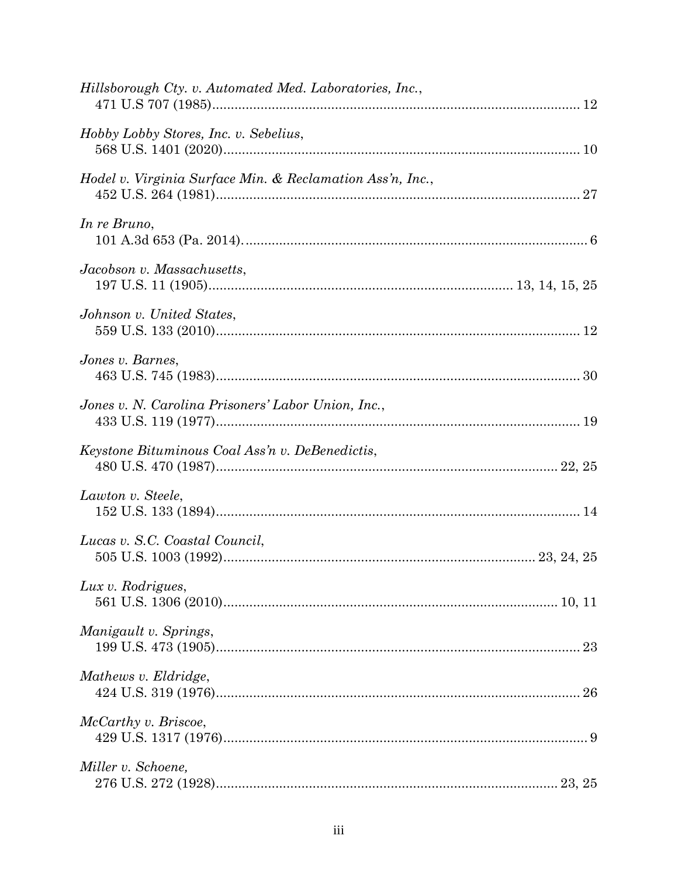| Hillsborough Cty. v. Automated Med. Laboratories, Inc.,   |  |
|-----------------------------------------------------------|--|
| Hobby Lobby Stores, Inc. v. Sebelius,                     |  |
| Hodel v. Virginia Surface Min. & Reclamation Ass'n, Inc., |  |
| In re Bruno,                                              |  |
| Jacobson v. Massachusetts,                                |  |
| Johnson v. United States,                                 |  |
| Jones v. Barnes,                                          |  |
| Jones v. N. Carolina Prisoners' Labor Union, Inc.,        |  |
| Keystone Bituminous Coal Ass'n v. DeBenedictis,           |  |
| Lawton v. Steele,                                         |  |
| Lucas v. S.C. Coastal Council,                            |  |
| Lux v. Rodrigues,                                         |  |
| Manigault v. Springs,                                     |  |
| Mathews v. Eldridge,                                      |  |
| McCarthy v. Briscoe,                                      |  |
| Miller v. Schoene,                                        |  |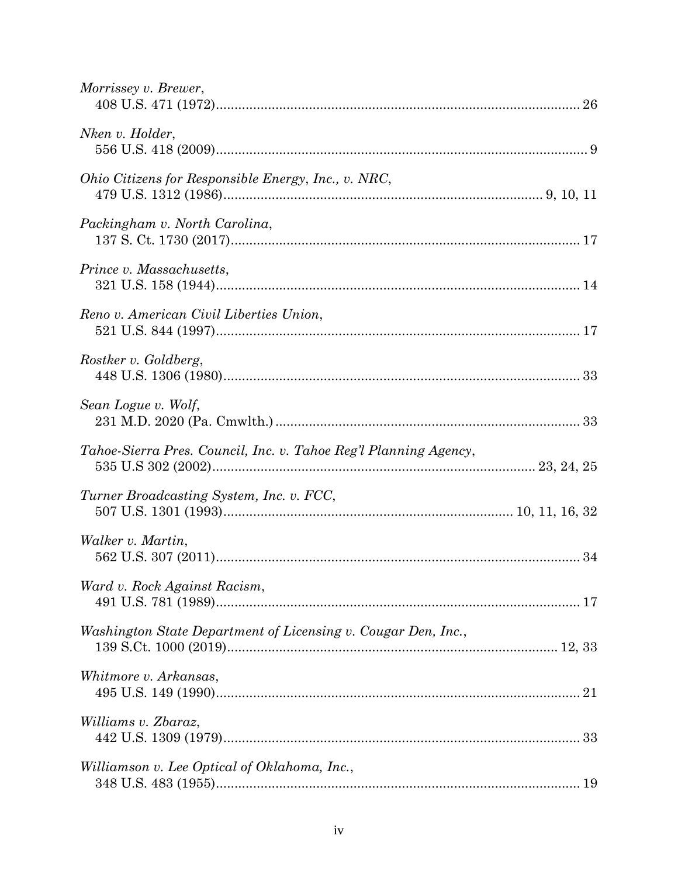| Morrissey v. Brewer,                                             |  |
|------------------------------------------------------------------|--|
| Nken v. Holder,                                                  |  |
| Ohio Citizens for Responsible Energy, Inc., v. NRC,              |  |
| Packingham v. North Carolina,                                    |  |
| Prince v. Massachusetts,                                         |  |
| Reno v. American Civil Liberties Union,                          |  |
| Rostker v. Goldberg,                                             |  |
| Sean Logue v. Wolf,                                              |  |
| Tahoe-Sierra Pres. Council, Inc. v. Tahoe Reg'l Planning Agency, |  |
| Turner Broadcasting System, Inc. v. FCC,                         |  |
| Walker v. Martin,                                                |  |
| Ward v. Rock Against Racism,                                     |  |
| Washington State Department of Licensing v. Cougar Den, Inc.,    |  |
| Whitmore v. Arkansas,                                            |  |
| Williams v. Zbaraz,                                              |  |
| Williamson v. Lee Optical of Oklahoma, Inc.,                     |  |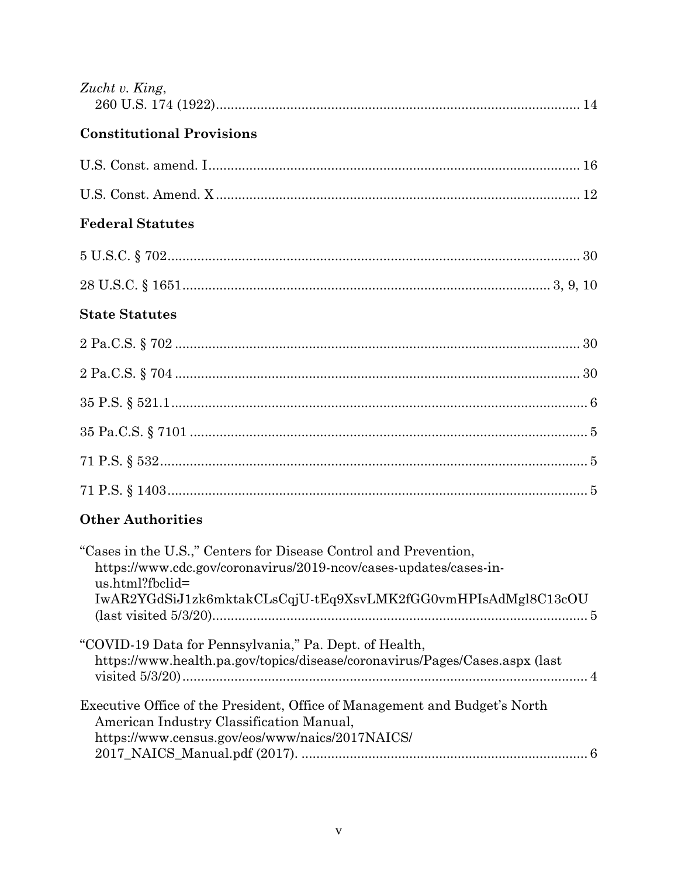| Zucht v. King,                                                                                                                                                                                                            |
|---------------------------------------------------------------------------------------------------------------------------------------------------------------------------------------------------------------------------|
| <b>Constitutional Provisions</b>                                                                                                                                                                                          |
|                                                                                                                                                                                                                           |
|                                                                                                                                                                                                                           |
| <b>Federal Statutes</b>                                                                                                                                                                                                   |
|                                                                                                                                                                                                                           |
|                                                                                                                                                                                                                           |
| <b>State Statutes</b>                                                                                                                                                                                                     |
|                                                                                                                                                                                                                           |
|                                                                                                                                                                                                                           |
|                                                                                                                                                                                                                           |
|                                                                                                                                                                                                                           |
|                                                                                                                                                                                                                           |
|                                                                                                                                                                                                                           |
| <b>Other Authorities</b>                                                                                                                                                                                                  |
| "Cases in the U.S.," Centers for Disease Control and Prevention,<br>https://www.cdc.gov/coronavirus/2019-ncov/cases-updates/cases-in-<br>us.html?fbclid=<br>IwAR2YGdSiJ1zk6mktakCLsCqjU-tEq9XsvLMK2fGG0vmHPIsAdMgl8C13cOU |
| "COVID-19 Data for Pennsylvania," Pa. Dept. of Health,<br>https://www.health.pa.gov/topics/disease/coronavirus/Pages/Cases.aspx (last                                                                                     |
| Executive Office of the President, Office of Management and Budget's North<br>American Industry Classification Manual,<br>https://www.census.gov/eos/www/naics/2017NAICS/                                                 |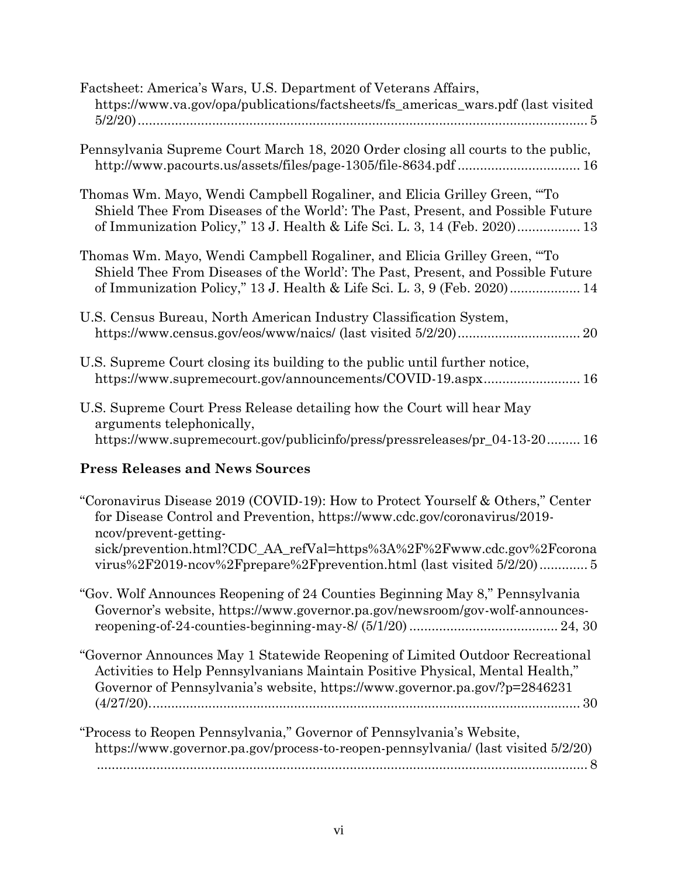| Factsheet: America's Wars, U.S. Department of Veterans Affairs,<br>https://www.va.gov/opa/publications/factsheets/fs_americas_wars.pdf (last visited                                                                                                                                                                                    |
|-----------------------------------------------------------------------------------------------------------------------------------------------------------------------------------------------------------------------------------------------------------------------------------------------------------------------------------------|
| Pennsylvania Supreme Court March 18, 2020 Order closing all courts to the public,<br>http://www.pacourts.us/assets/files/page-1305/file-8634.pdf  16                                                                                                                                                                                    |
| Thomas Wm. Mayo, Wendi Campbell Rogaliner, and Elicia Grilley Green, "To<br>Shield Thee From Diseases of the World': The Past, Present, and Possible Future<br>of Immunization Policy," 13 J. Health & Life Sci. L. 3, 14 (Feb. 2020) 13                                                                                                |
| Thomas Wm. Mayo, Wendi Campbell Rogaliner, and Elicia Grilley Green, "To<br>Shield Thee From Diseases of the World': The Past, Present, and Possible Future<br>of Immunization Policy," 13 J. Health & Life Sci. L. 3, 9 (Feb. 2020) 14                                                                                                 |
| U.S. Census Bureau, North American Industry Classification System,                                                                                                                                                                                                                                                                      |
| U.S. Supreme Court closing its building to the public until further notice,<br>https://www.supremecourt.gov/announcements/COVID-19.aspx 16                                                                                                                                                                                              |
| U.S. Supreme Court Press Release detailing how the Court will hear May<br>arguments telephonically,<br>https://www.supremecourt.gov/publicinfo/press/pressreleases/pr_04-13-2016                                                                                                                                                        |
| <b>Press Releases and News Sources</b>                                                                                                                                                                                                                                                                                                  |
| "Coronavirus Disease 2019 (COVID-19): How to Protect Yourself & Others," Center<br>for Disease Control and Prevention, https://www.cdc.gov/coronavirus/2019-<br>ncov/prevent-getting-<br>sick/prevention.html?CDC_AA_refVal=https%3A%2F%2Fwww.cdc.gov%2Fcorona<br>virus%2F2019-ncov%2Fprepare%2Fprevention.html (last visited 5/2/20) 5 |
| "Gov. Wolf Announces Reopening of 24 Counties Beginning May 8," Pennsylvania<br>Governor's website, https://www.governor.pa.gov/newsroom/gov-wolf-announces-                                                                                                                                                                            |
| "Governor Announces May 1 Statewide Reopening of Limited Outdoor Recreational<br>Activities to Help Pennsylvanians Maintain Positive Physical, Mental Health,"<br>Governor of Pennsylvania's website, https://www.governor.pa.gov/?p=2846231                                                                                            |
| "Process to Reopen Pennsylvania," Governor of Pennsylvania's Website,<br>https://www.governor.pa.gov/process-to-reopen-pennsylvania/ (last visited 5/2/20)                                                                                                                                                                              |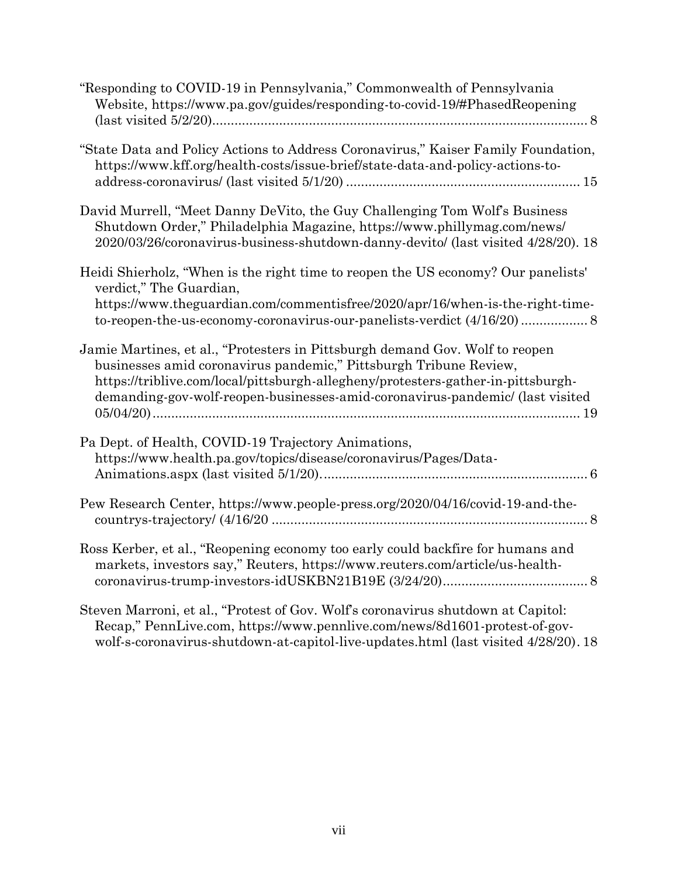| "Responding to COVID-19 in Pennsylvania," Commonwealth of Pennsylvania<br>Website, https://www.pa.gov/guides/responding-to-covid-19/#PhasedReopening                                                                                                                                                                   |
|------------------------------------------------------------------------------------------------------------------------------------------------------------------------------------------------------------------------------------------------------------------------------------------------------------------------|
| "State Data and Policy Actions to Address Coronavirus," Kaiser Family Foundation,<br>https://www.kff.org/health-costs/issue-brief/state-data-and-policy-actions-to-                                                                                                                                                    |
| David Murrell, "Meet Danny DeVito, the Guy Challenging Tom Wolf's Business<br>Shutdown Order," Philadelphia Magazine, https://www.phillymag.com/news/<br>2020/03/26/coronavirus-business-shutdown-danny-devito/ (last visited 4/28/20). 18                                                                             |
| Heidi Shierholz, "When is the right time to reopen the US economy? Our panelists"<br>verdict," The Guardian,<br>https://www.theguardian.com/commentisfree/2020/apr/16/when-is-the-right-time-                                                                                                                          |
| Jamie Martines, et al., "Protesters in Pittsburgh demand Gov. Wolf to reopen<br>businesses amid coronavirus pandemic," Pittsburgh Tribune Review,<br>https://triblive.com/local/pittsburgh-allegheny/protesters-gather-in-pittsburgh-<br>demanding-gov-wolf-reopen-businesses-amid-coronavirus-pandemic/ (last visited |
| Pa Dept. of Health, COVID-19 Trajectory Animations,<br>https://www.health.pa.gov/topics/disease/coronavirus/Pages/Data-                                                                                                                                                                                                |
| Pew Research Center, https://www.people-press.org/2020/04/16/covid-19-and-the-                                                                                                                                                                                                                                         |
| Ross Kerber, et al., "Reopening economy too early could backfire for humans and<br>markets, investors say," Reuters, https://www.reuters.com/article/us-health-                                                                                                                                                        |
| Steven Marroni, et al., "Protest of Gov. Wolf's coronavirus shutdown at Capitol:<br>Recap," PennLive.com, https://www.pennlive.com/news/8d1601-protest-of-gov-                                                                                                                                                         |

wolf-s-coronavirus-shutdown-at-capitol-live-updates.html (last visited 4/28/20). 18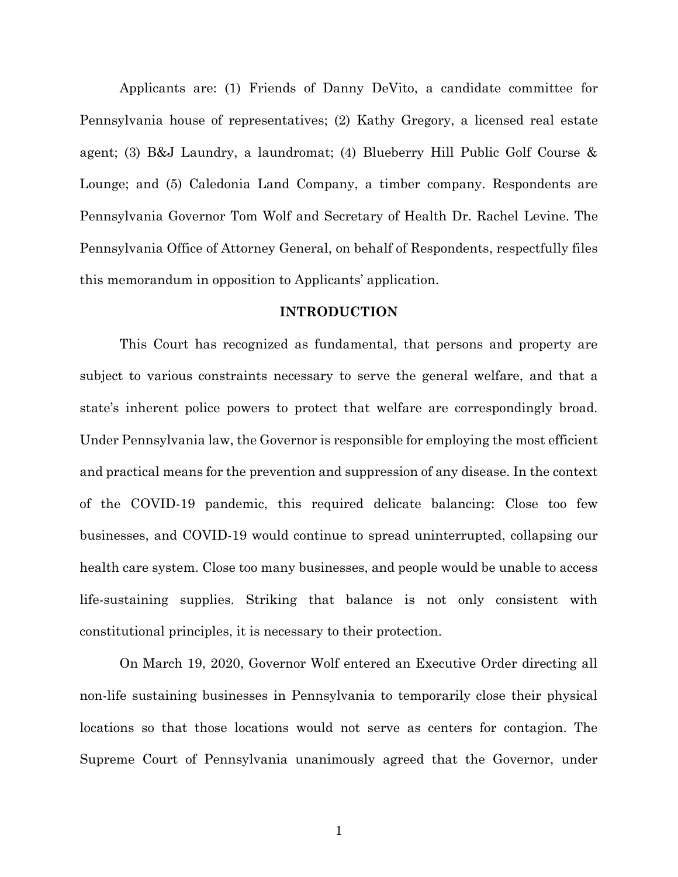Applicants are: (1) Friends of Danny DeVito, a candidate committee for Pennsylvania house of representatives; (2) Kathy Gregory, a licensed real estate agent; (3) B&J Laundry, a laundromat; (4) Blueberry Hill Public Golf Course & Lounge; and (5) Caledonia Land Company, a timber company. Respondents are Pennsylvania Governor Tom Wolf and Secretary of Health Dr. Rachel Levine. The Pennsylvania Office of Attorney General, on behalf of Respondents, respectfully files this memorandum in opposition to Applicants' application.

#### **INTRODUCTION**

<span id="page-8-0"></span>This Court has recognized as fundamental, that persons and property are subject to various constraints necessary to serve the general welfare, and that a state's inherent police powers to protect that welfare are correspondingly broad. Under Pennsylvania law, the Governor is responsible for employing the most efficient and practical means for the prevention and suppression of any disease. In the context of the COVID-19 pandemic, this required delicate balancing: Close too few businesses, and COVID-19 would continue to spread uninterrupted, collapsing our health care system. Close too many businesses, and people would be unable to access life-sustaining supplies. Striking that balance is not only consistent with constitutional principles, it is necessary to their protection.

On March 19, 2020, Governor Wolf entered an Executive Order directing all non-life sustaining businesses in Pennsylvania to temporarily close their physical locations so that those locations would not serve as centers for contagion. The Supreme Court of Pennsylvania unanimously agreed that the Governor, under

1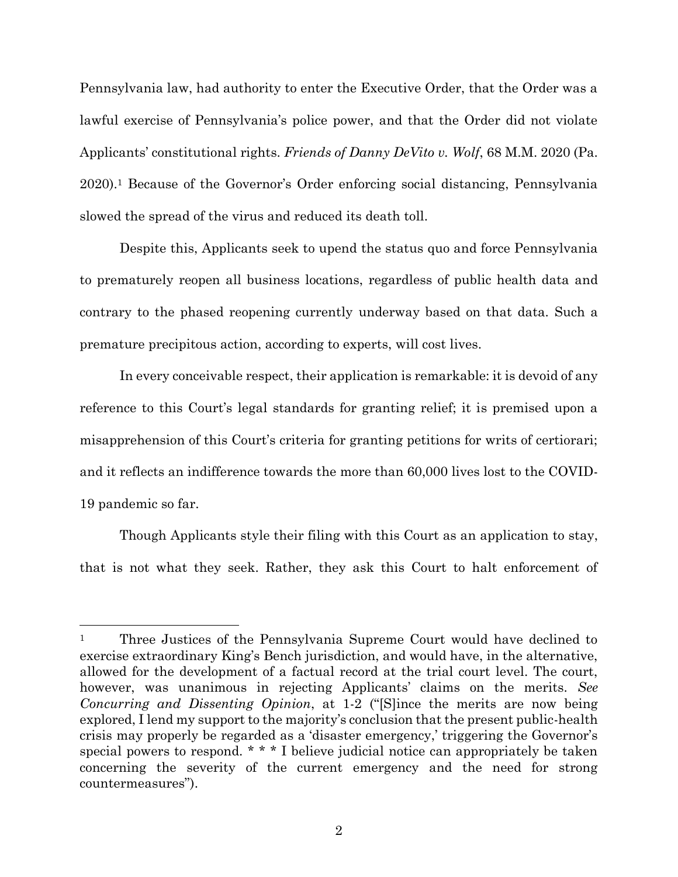Pennsylvania law, had authority to enter the Executive Order, that the Order was a lawful exercise of Pennsylvania's police power, and that the Order did not violate Applicants' constitutional rights. *Friends of Danny DeVito v. Wolf*, 68 M.M. 2020 (Pa. 2020). <sup>1</sup> Because of the Governor's Order enforcing social distancing, Pennsylvania slowed the spread of the virus and reduced its death toll.

Despite this, Applicants seek to upend the status quo and force Pennsylvania to prematurely reopen all business locations, regardless of public health data and contrary to the phased reopening currently underway based on that data. Such a premature precipitous action, according to experts, will cost lives.

In every conceivable respect, their application is remarkable: it is devoid of any reference to this Court's legal standards for granting relief; it is premised upon a misapprehension of this Court's criteria for granting petitions for writs of certiorari; and it reflects an indifference towards the more than 60,000 lives lost to the COVID-19 pandemic so far.

Though Applicants style their filing with this Court as an application to stay, that is not what they seek. Rather, they ask this Court to halt enforcement of

<sup>&</sup>lt;sup>1</sup> Three Justices of the Pennsylvania Supreme Court would have declined to exercise extraordinary King's Bench jurisdiction, and would have, in the alternative, allowed for the development of a factual record at the trial court level. The court, however, was unanimous in rejecting Applicants' claims on the merits. *See Concurring and Dissenting Opinion*, at 1-2 ("[S]ince the merits are now being explored, I lend my support to the majority's conclusion that the present public-health crisis may properly be regarded as a 'disaster emergency,' triggering the Governor's special powers to respond. \* \* \* I believe judicial notice can appropriately be taken concerning the severity of the current emergency and the need for strong countermeasures").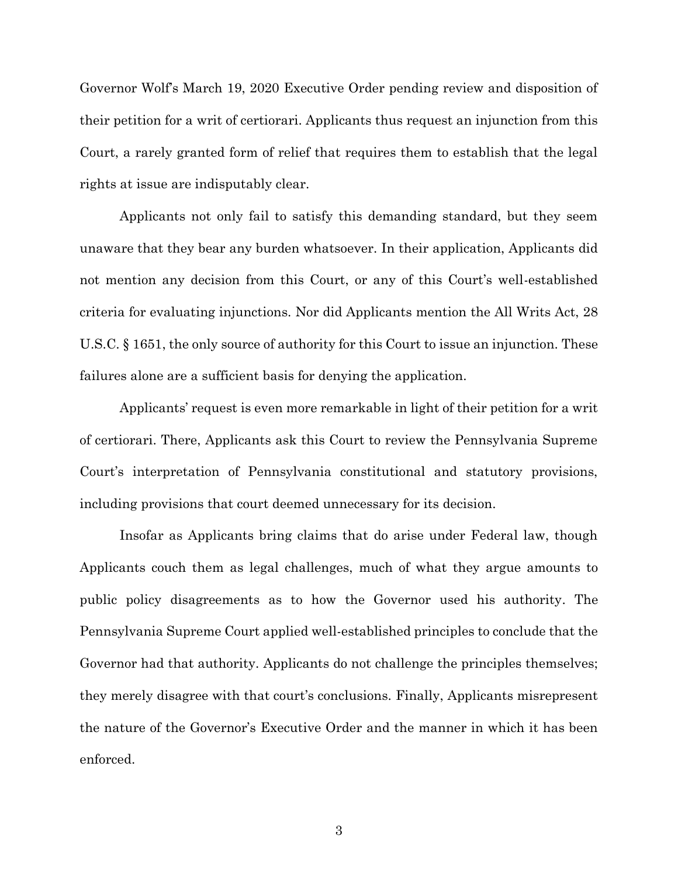Governor Wolf's March 19, 2020 Executive Order pending review and disposition of their petition for a writ of certiorari. Applicants thus request an injunction from this Court, a rarely granted form of relief that requires them to establish that the legal rights at issue are indisputably clear.

Applicants not only fail to satisfy this demanding standard, but they seem unaware that they bear any burden whatsoever. In their application, Applicants did not mention any decision from this Court, or any of this Court's well-established criteria for evaluating injunctions. Nor did Applicants mention the All Writs Act, 28 U.S.C. § 1651, the only source of authority for this Court to issue an injunction. These failures alone are a sufficient basis for denying the application.

Applicants' request is even more remarkable in light of their petition for a writ of certiorari. There, Applicants ask this Court to review the Pennsylvania Supreme Court's interpretation of Pennsylvania constitutional and statutory provisions, including provisions that court deemed unnecessary for its decision.

Insofar as Applicants bring claims that do arise under Federal law, though Applicants couch them as legal challenges, much of what they argue amounts to public policy disagreements as to how the Governor used his authority. The Pennsylvania Supreme Court applied well-established principles to conclude that the Governor had that authority. Applicants do not challenge the principles themselves; they merely disagree with that court's conclusions. Finally, Applicants misrepresent the nature of the Governor's Executive Order and the manner in which it has been enforced.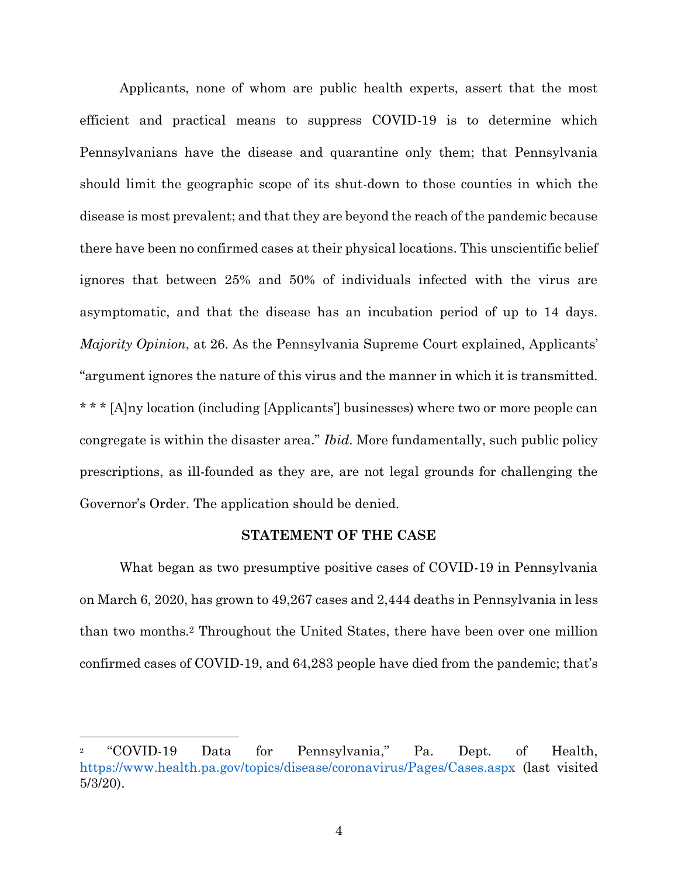Applicants, none of whom are public health experts, assert that the most efficient and practical means to suppress COVID-19 is to determine which Pennsylvanians have the disease and quarantine only them; that Pennsylvania should limit the geographic scope of its shut-down to those counties in which the disease is most prevalent; and that they are beyond the reach of the pandemic because there have been no confirmed cases at their physical locations. This unscientific belief ignores that between 25% and 50% of individuals infected with the virus are asymptomatic, and that the disease has an incubation period of up to 14 days. *Majority Opinion*, at 26. As the Pennsylvania Supreme Court explained, Applicants' "argument ignores the nature of this virus and the manner in which it is transmitted. \* \* \* [A]ny location (including [Applicants'] businesses) where two or more people can congregate is within the disaster area." *Ibid*. More fundamentally, such public policy prescriptions, as ill-founded as they are, are not legal grounds for challenging the Governor's Order. The application should be denied.

#### **STATEMENT OF THE CASE**

<span id="page-11-0"></span>What began as two presumptive positive cases of COVID-19 in Pennsylvania on March 6, 2020, has grown to 49,267 cases and 2,444 deaths in Pennsylvania in less than two months.<sup>2</sup> Throughout the United States, there have been over one million confirmed cases of COVID-19, and 64,283 people have died from the pandemic; that's

<sup>2</sup> "COVID-19 Data for Pennsylvania," Pa. Dept. of Health, <https://www.health.pa.gov/topics/disease/coronavirus/Pages/Cases.aspx> (last visited 5/3/20).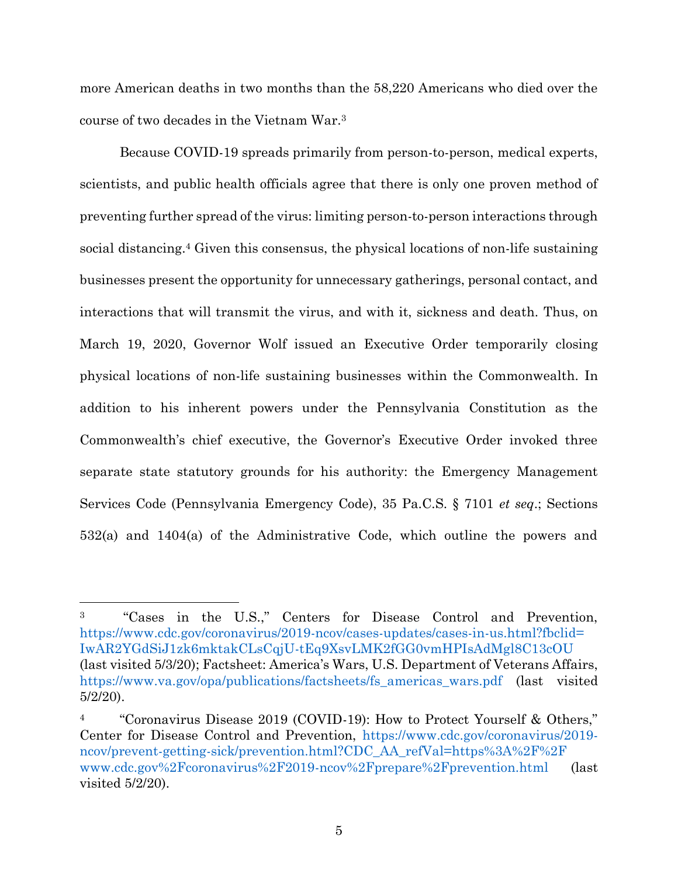more American deaths in two months than the 58,220 Americans who died over the course of two decades in the Vietnam War.<sup>3</sup>

Because COVID-19 spreads primarily from person-to-person, medical experts, scientists, and public health officials agree that there is only one proven method of preventing further spread of the virus: limiting person-to-person interactions through social distancing.<sup>4</sup> Given this consensus, the physical locations of non-life sustaining businesses present the opportunity for unnecessary gatherings, personal contact, and interactions that will transmit the virus, and with it, sickness and death. Thus, on March 19, 2020, Governor Wolf issued an Executive Order temporarily closing physical locations of non-life sustaining businesses within the Commonwealth. In addition to his inherent powers under the Pennsylvania Constitution as the Commonwealth's chief executive, the Governor's Executive Order invoked three separate state statutory grounds for his authority: the Emergency Management Services Code (Pennsylvania Emergency Code), 35 Pa.C.S. § 7101 *et seq*.; Sections 532(a) and 1404(a) of the Administrative Code, which outline the powers and

<sup>3</sup> "Cases in the U.S.," Centers for Disease Control and Prevention, [https://www.cdc.gov/coronavirus/2019-ncov/cases-updates/cases-in-us.html?fbclid=](https://www.cdc.gov/coronavirus/2019-ncov/cases-updates/cases-in-us.html?fbclid=IwAR2YGdSiJ1zk6mktakCLsCqjU-tEq9XsvLMK2fGG0vmHPIsAdMgl8C13cOU) [IwAR2YGdSiJ1zk6mktakCLsCqjU-tEq9XsvLMK2fGG0vmHPIsAdMgl8C13cOU](https://www.cdc.gov/coronavirus/2019-ncov/cases-updates/cases-in-us.html?fbclid=IwAR2YGdSiJ1zk6mktakCLsCqjU-tEq9XsvLMK2fGG0vmHPIsAdMgl8C13cOU) (last visited 5/3/20); Factsheet: America's Wars, U.S. Department of Veterans Affairs, [https://www.va.gov/opa/publications/factsheets/fs\\_americas\\_wars.pdf](https://www.va.gov/opa/publications/factsheets/fs_americas_wars.pdf) (last visited 5/2/20).

<sup>4</sup> "Coronavirus Disease 2019 (COVID-19): How to Protect Yourself & Others," Center for Disease Control and Prevention, [https://www.cdc.gov/coronavirus/2019](https://www.cdc.gov/coronavirus/2019-ncov/prevent-getting-sick/prevention.html?CDC_AA_refVal=https%3A%2F%2Fwww.cdc.gov%2Fcoronavirus%2F2019-ncov%2Fprepare%2Fprevention.html) [ncov/prevent-getting-sick/prevention.html?CDC\\_AA\\_refVal=https%3A%2F%2F](https://www.cdc.gov/coronavirus/2019-ncov/prevent-getting-sick/prevention.html?CDC_AA_refVal=https%3A%2F%2Fwww.cdc.gov%2Fcoronavirus%2F2019-ncov%2Fprepare%2Fprevention.html) [www.cdc.gov%2Fcoronavirus%2F2019-ncov%2Fprepare%2Fprevention.html](https://www.cdc.gov/coronavirus/2019-ncov/prevent-getting-sick/prevention.html?CDC_AA_refVal=https%3A%2F%2Fwww.cdc.gov%2Fcoronavirus%2F2019-ncov%2Fprepare%2Fprevention.html) (last visited 5/2/20).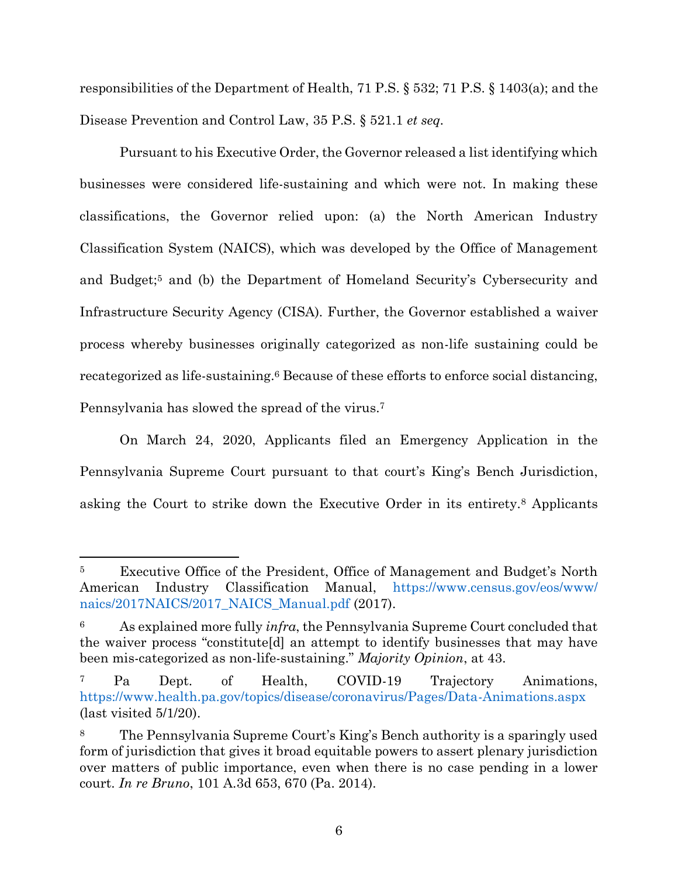responsibilities of the Department of Health, 71 P.S. § 532; 71 P.S. § 1403(a); and the Disease Prevention and Control Law, 35 P.S. § 521.1 *et seq.*

Pursuant to his Executive Order, the Governor released a list identifying which businesses were considered life-sustaining and which were not. In making these classifications, the Governor relied upon: (a) the North American Industry Classification System (NAICS), which was developed by the Office of Management and Budget;<sup>5</sup> and (b) the Department of Homeland Security's Cybersecurity and Infrastructure Security Agency (CISA). Further, the Governor established a waiver process whereby businesses originally categorized as non-life sustaining could be recategorized as life-sustaining.<sup>6</sup> Because of these efforts to enforce social distancing, Pennsylvania has slowed the spread of the virus.<sup>7</sup>

On March 24, 2020, Applicants filed an Emergency Application in the Pennsylvania Supreme Court pursuant to that court's King's Bench Jurisdiction, asking the Court to strike down the Executive Order in its entirety.<sup>8</sup> Applicants

<sup>5</sup> Executive Office of the President, Office of Management and Budget's North American Industry Classification Manual, [https://www.census.gov/eos/www/](https://www.census.gov/eos/www/naics/2017NAICS/2017_NAICS_Manual.pdf) [naics/2017NAICS/2017\\_NAICS\\_Manual.pdf](https://www.census.gov/eos/www/naics/2017NAICS/2017_NAICS_Manual.pdf) (2017).

<sup>6</sup> As explained more fully *infra*, the Pennsylvania Supreme Court concluded that the waiver process "constitute[d] an attempt to identify businesses that may have been mis-categorized as non-life-sustaining." *Majority Opinion*, at 43.

<sup>7</sup> Pa Dept. of Health, COVID-19 Trajectory Animations, <https://www.health.pa.gov/topics/disease/coronavirus/Pages/Data-Animations.aspx> (last visited 5/1/20).

<sup>8</sup> The Pennsylvania Supreme Court's King's Bench authority is a sparingly used form of jurisdiction that gives it broad equitable powers to assert plenary jurisdiction over matters of public importance, even when there is no case pending in a lower court. *In re Bruno*, 101 A.3d 653, 670 (Pa. 2014).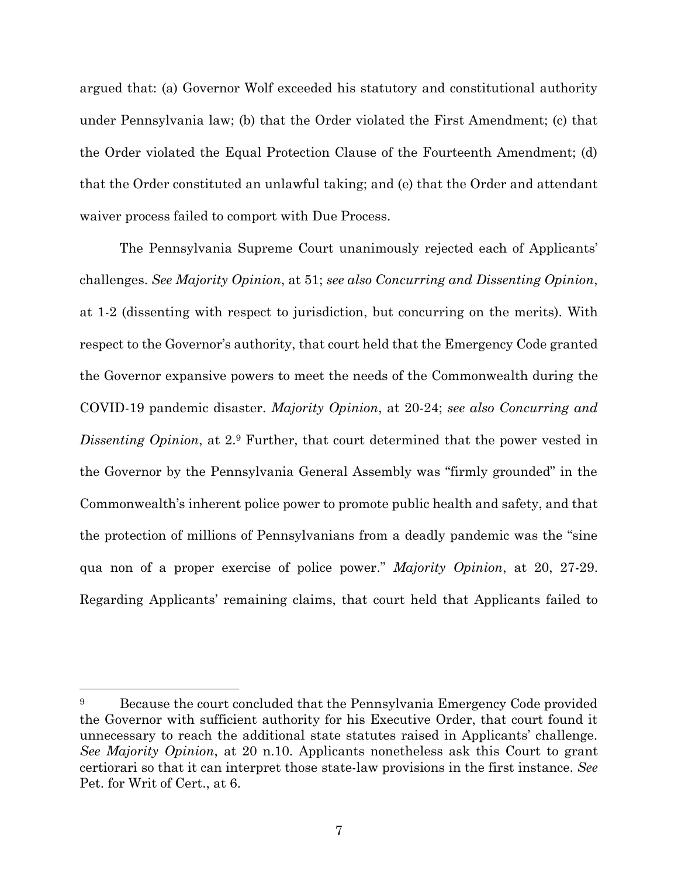argued that: (a) Governor Wolf exceeded his statutory and constitutional authority under Pennsylvania law; (b) that the Order violated the First Amendment; (c) that the Order violated the Equal Protection Clause of the Fourteenth Amendment; (d) that the Order constituted an unlawful taking; and (e) that the Order and attendant waiver process failed to comport with Due Process.

The Pennsylvania Supreme Court unanimously rejected each of Applicants' challenges. *See Majority Opinion*, at 51; *see also Concurring and Dissenting Opinion*, at 1-2 (dissenting with respect to jurisdiction, but concurring on the merits). With respect to the Governor's authority, that court held that the Emergency Code granted the Governor expansive powers to meet the needs of the Commonwealth during the COVID-19 pandemic disaster. *Majority Opinion*, at 20-24; *see also Concurring and Dissenting Opinion*, at 2.<sup>9</sup> Further, that court determined that the power vested in the Governor by the Pennsylvania General Assembly was "firmly grounded" in the Commonwealth's inherent police power to promote public health and safety, and that the protection of millions of Pennsylvanians from a deadly pandemic was the "sine qua non of a proper exercise of police power." *Majority Opinion*, at 20, 27-29. Regarding Applicants' remaining claims, that court held that Applicants failed to

<sup>&</sup>lt;sup>9</sup> Because the court concluded that the Pennsylvania Emergency Code provided the Governor with sufficient authority for his Executive Order, that court found it unnecessary to reach the additional state statutes raised in Applicants' challenge. *See Majority Opinion*, at 20 n.10. Applicants nonetheless ask this Court to grant certiorari so that it can interpret those state-law provisions in the first instance. *See* Pet. for Writ of Cert., at 6.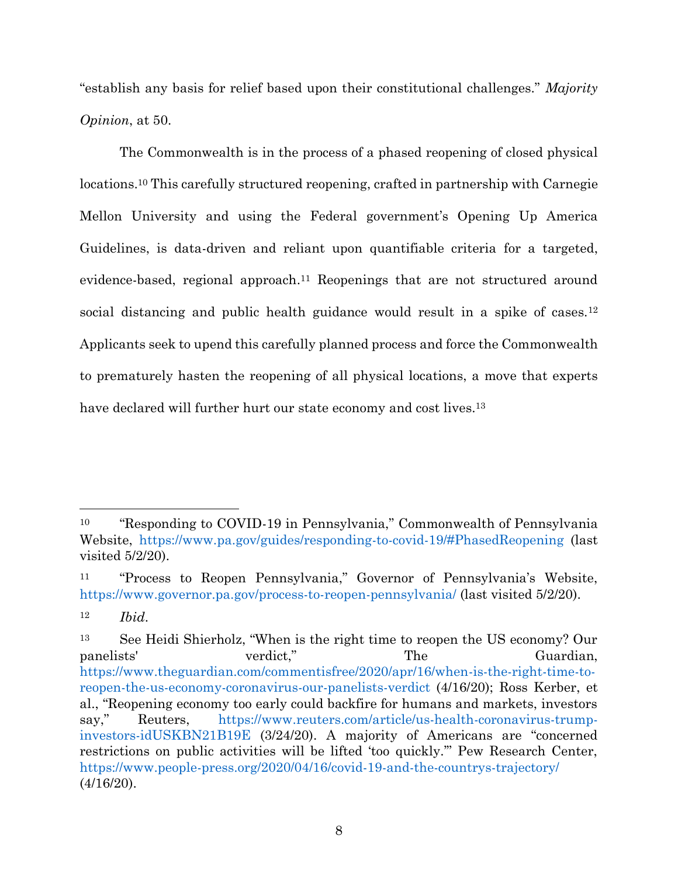"establish any basis for relief based upon their constitutional challenges." *Majority Opinion*, at 50.

The Commonwealth is in the process of a phased reopening of closed physical locations.<sup>10</sup> This carefully structured reopening, crafted in partnership with Carnegie Mellon University and using the Federal government's Opening Up America Guidelines, is data-driven and reliant upon quantifiable criteria for a targeted, evidence-based, regional approach. <sup>11</sup> Reopenings that are not structured around social distancing and public health guidance would result in a spike of cases.<sup>12</sup> Applicants seek to upend this carefully planned process and force the Commonwealth to prematurely hasten the reopening of all physical locations, a move that experts have declared will further hurt our state economy and cost lives.<sup>13</sup>

<sup>10</sup> "Responding to COVID-19 in Pennsylvania," Commonwealth of Pennsylvania Website,<https://www.pa.gov/guides/responding-to-covid-19/#PhasedReopening> (last visited 5/2/20).

<sup>11</sup> "Process to Reopen Pennsylvania," Governor of Pennsylvania's Website, <https://www.governor.pa.gov/process-to-reopen-pennsylvania/> (last visited 5/2/20).

<sup>12</sup> *Ibid*.

<sup>13</sup> See Heidi Shierholz, "When is the right time to reopen the US economy? Our panelists' verdict," The Guardian, [https://www.theguardian.com/commentisfree/2020/apr/16/when-is-the-right-time-to](https://www.theguardian.com/commentisfree/2020/apr/16/when-is-the-right-time-to-reopen-the-us-economy-coronavirus-our-panelists-verdict)[reopen-the-us-economy-coronavirus-our-panelists-verdict](https://www.theguardian.com/commentisfree/2020/apr/16/when-is-the-right-time-to-reopen-the-us-economy-coronavirus-our-panelists-verdict) (4/16/20); Ross Kerber, et al., "Reopening economy too early could backfire for humans and markets, investors say," Reuters, [https://www.reuters.com/article/us-health-coronavirus-trump](https://www.reuters.com/article/us-health-coronavirus-trump-investors-idUSKBN21B19E)[investors-idUSKBN21B19E](https://www.reuters.com/article/us-health-coronavirus-trump-investors-idUSKBN21B19E) (3/24/20). A majority of Americans are "concerned restrictions on public activities will be lifted 'too quickly.'" Pew Research Center, <https://www.people-press.org/2020/04/16/covid-19-and-the-countrys-trajectory/> (4/16/20).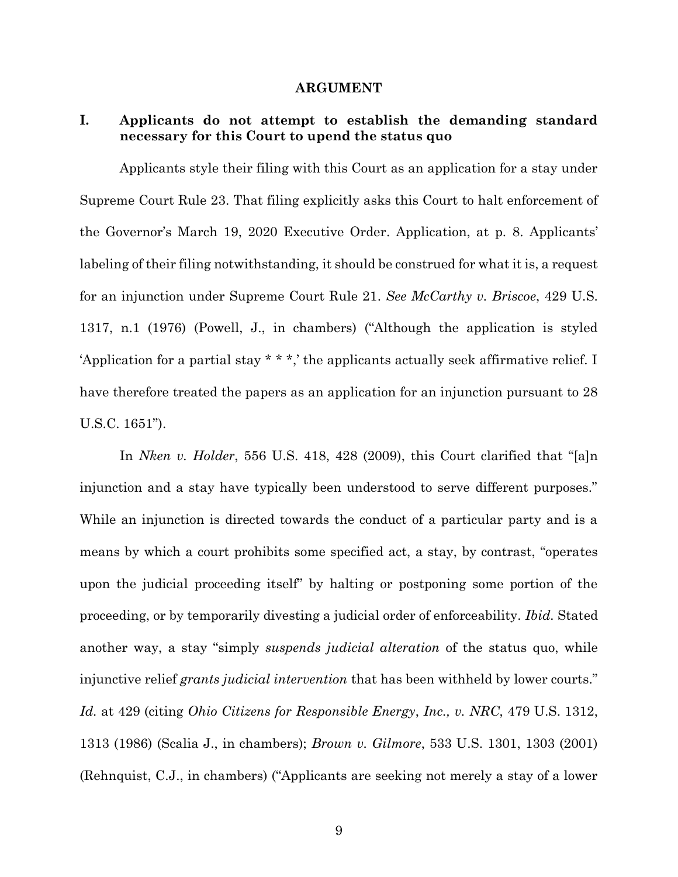#### **ARGUMENT**

## <span id="page-16-1"></span><span id="page-16-0"></span>**I. Applicants do not attempt to establish the demanding standard necessary for this Court to upend the status quo**

Applicants style their filing with this Court as an application for a stay under Supreme Court Rule 23. That filing explicitly asks this Court to halt enforcement of the Governor's March 19, 2020 Executive Order. Application, at p. 8. Applicants' labeling of their filing notwithstanding, it should be construed for what it is, a request for an injunction under Supreme Court Rule 21. *See McCarthy v. Briscoe*, 429 U.S. 1317, n.1 (1976) (Powell, J., in chambers) ("Although the application is styled 'Application for a partial stay \* \* \*,' the applicants actually seek affirmative relief. I have therefore treated the papers as an application for an injunction pursuant to 28 U.S.C. 1651").

In *Nken v. Holder*, 556 U.S. 418, 428 (2009), this Court clarified that "[a]n injunction and a stay have typically been understood to serve different purposes." While an injunction is directed towards the conduct of a particular party and is a means by which a court prohibits some specified act, a stay, by contrast, "operates upon the judicial proceeding itself" by halting or postponing some portion of the proceeding, or by temporarily divesting a judicial order of enforceability. *Ibid.* Stated another way, a stay "simply *suspends judicial alteration* of the status quo, while injunctive relief *grants judicial intervention* that has been withheld by lower courts." *Id.* at 429 (citing *Ohio Citizens for Responsible Energy*, *Inc., v. NRC*, 479 U.S. 1312, 1313 (1986) (Scalia J., in chambers); *Brown v. Gilmore*, 533 U.S. 1301, 1303 (2001) (Rehnquist, C.J., in chambers) ("Applicants are seeking not merely a stay of a lower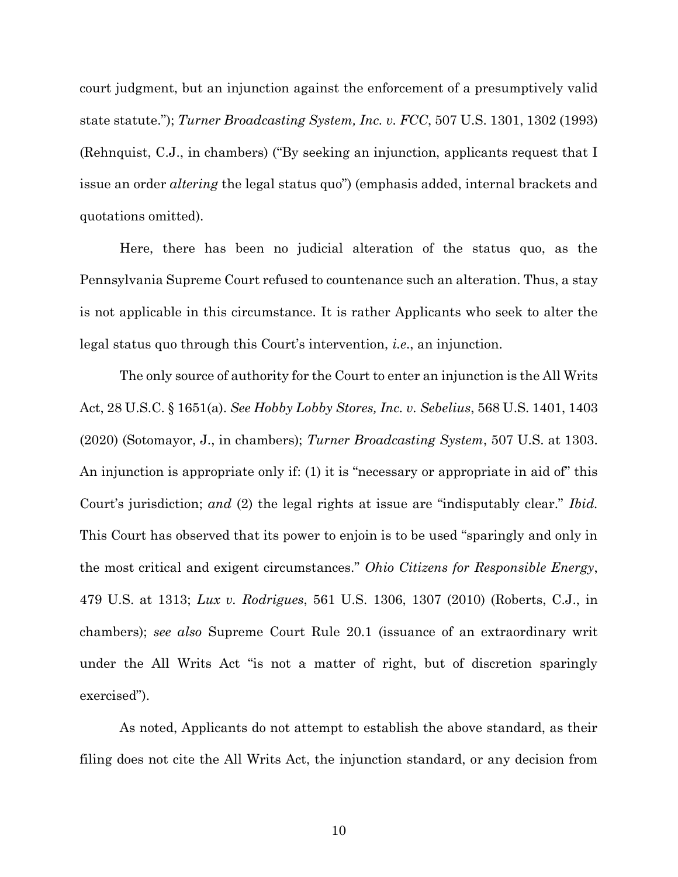court judgment, but an injunction against the enforcement of a presumptively valid state statute."); *Turner Broadcasting System, Inc. v. FCC*, 507 U.S. 1301, 1302 (1993) (Rehnquist, C.J., in chambers) ("By seeking an injunction, applicants request that I issue an order *altering* the legal status quo") (emphasis added, internal brackets and quotations omitted).

Here, there has been no judicial alteration of the status quo, as the Pennsylvania Supreme Court refused to countenance such an alteration. Thus, a stay is not applicable in this circumstance. It is rather Applicants who seek to alter the legal status quo through this Court's intervention, *i.e*., an injunction.

The only source of authority for the Court to enter an injunction is the All Writs Act, 28 U.S.C. § 1651(a). *See Hobby Lobby Stores, Inc. v. Sebelius*, 568 U.S. 1401, 1403 (2020) (Sotomayor, J., in chambers); *Turner Broadcasting System*, 507 U.S. at 1303. An injunction is appropriate only if: (1) it is "necessary or appropriate in aid of" this Court's jurisdiction; *and* (2) the legal rights at issue are "indisputably clear." *Ibid.* This Court has observed that its power to enjoin is to be used "sparingly and only in the most critical and exigent circumstances." *Ohio Citizens for Responsible Energy*, 479 U.S. at 1313; *Lux v. Rodrigues*, 561 U.S. 1306, 1307 (2010) (Roberts, C.J., in chambers); *see also* Supreme Court Rule 20.1 (issuance of an extraordinary writ under the All Writs Act "is not a matter of right, but of discretion sparingly exercised").

As noted, Applicants do not attempt to establish the above standard, as their filing does not cite the All Writs Act, the injunction standard, or any decision from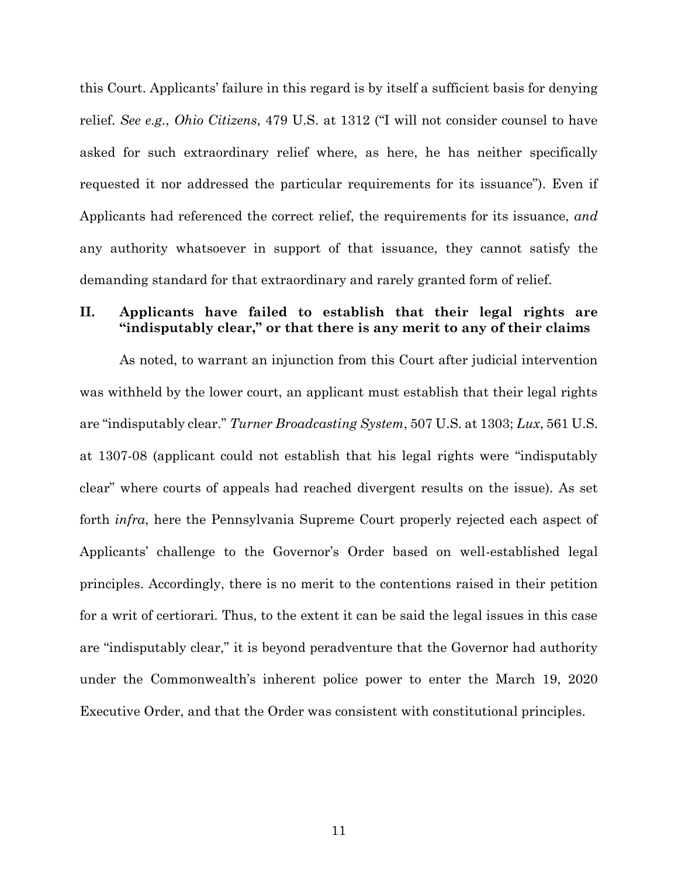this Court. Applicants' failure in this regard is by itself a sufficient basis for denying relief. *See e.g.*, *Ohio Citizens*, 479 U.S. at 1312 ("I will not consider counsel to have asked for such extraordinary relief where, as here, he has neither specifically requested it nor addressed the particular requirements for its issuance"). Even if Applicants had referenced the correct relief, the requirements for its issuance, *and* any authority whatsoever in support of that issuance, they cannot satisfy the demanding standard for that extraordinary and rarely granted form of relief.

### <span id="page-18-0"></span>**II. Applicants have failed to establish that their legal rights are "indisputably clear," or that there is any merit to any of their claims**

As noted, to warrant an injunction from this Court after judicial intervention was withheld by the lower court, an applicant must establish that their legal rights are "indisputably clear." *Turner Broadcasting System*, 507 U.S. at 1303; *Lux*, 561 U.S. at 1307-08 (applicant could not establish that his legal rights were "indisputably clear" where courts of appeals had reached divergent results on the issue). As set forth *infra*, here the Pennsylvania Supreme Court properly rejected each aspect of Applicants' challenge to the Governor's Order based on well-established legal principles. Accordingly, there is no merit to the contentions raised in their petition for a writ of certiorari. Thus, to the extent it can be said the legal issues in this case are "indisputably clear," it is beyond peradventure that the Governor had authority under the Commonwealth's inherent police power to enter the March 19, 2020 Executive Order, and that the Order was consistent with constitutional principles.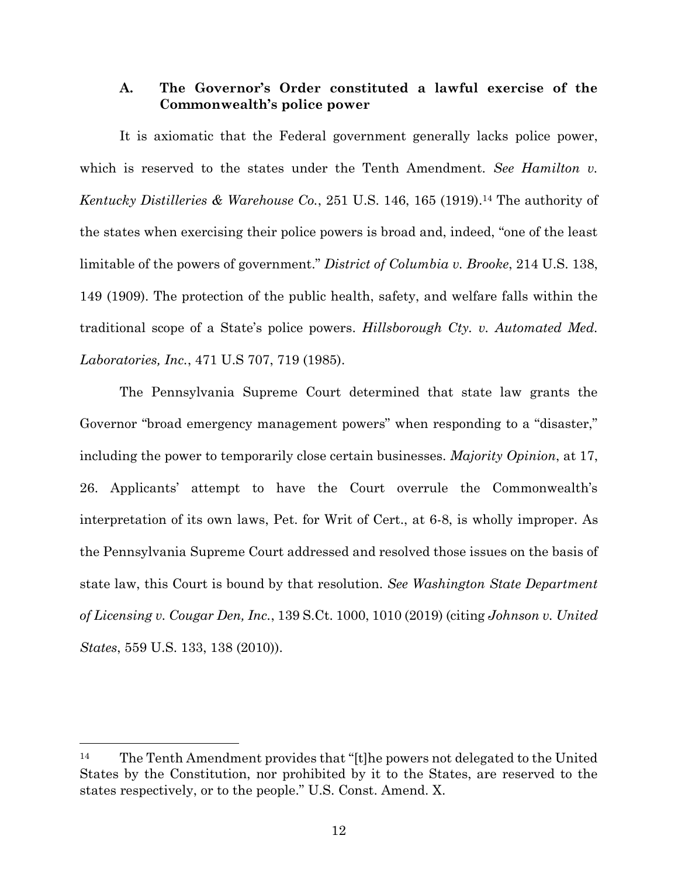#### <span id="page-19-0"></span>**A. The Governor's Order constituted a lawful exercise of the Commonwealth's police power**

It is axiomatic that the Federal government generally lacks police power, which is reserved to the states under the Tenth Amendment. *See Hamilton v. Kentucky Distilleries & Warehouse Co.*, 251 U.S. 146, 165 (1919). <sup>14</sup> The authority of the states when exercising their police powers is broad and, indeed, "one of the least limitable of the powers of government." *District of Columbia v. Brooke*, 214 U.S. 138, 149 (1909). The protection of the public health, safety, and welfare falls within the traditional scope of a State's police powers. *Hillsborough Cty. v. Automated Med. Laboratories, Inc.*, 471 U.S 707, 719 (1985).

The Pennsylvania Supreme Court determined that state law grants the Governor "broad emergency management powers" when responding to a "disaster," including the power to temporarily close certain businesses. *Majority Opinion*, at 17, 26. Applicants' attempt to have the Court overrule the Commonwealth's interpretation of its own laws, Pet. for Writ of Cert., at 6-8, is wholly improper. As the Pennsylvania Supreme Court addressed and resolved those issues on the basis of state law, this Court is bound by that resolution. *See Washington State Department of Licensing v. Cougar Den, Inc.*, 139 S.Ct. 1000, 1010 (2019) (citing *Johnson v. United States*, 559 U.S. 133, 138 (2010)).

<sup>14</sup> The Tenth Amendment provides that "[t]he powers not delegated to the United States by the Constitution, nor prohibited by it to the States, are reserved to the states respectively, or to the people." U.S. Const. Amend. X.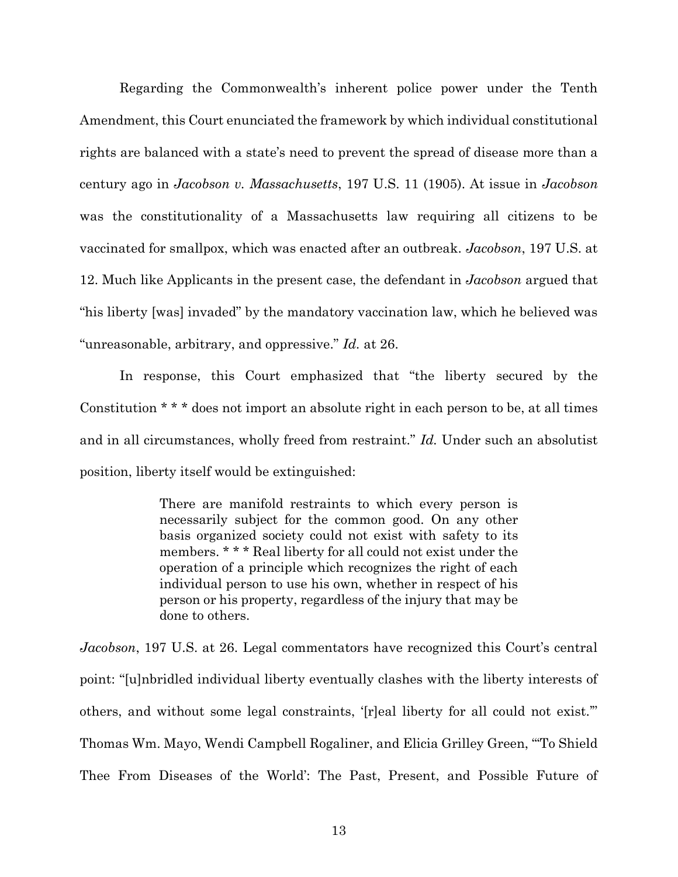Regarding the Commonwealth's inherent police power under the Tenth Amendment, this Court enunciated the framework by which individual constitutional rights are balanced with a state's need to prevent the spread of disease more than a century ago in *Jacobson v. Massachusetts*, 197 U.S. 11 (1905). At issue in *Jacobson* was the constitutionality of a Massachusetts law requiring all citizens to be vaccinated for smallpox, which was enacted after an outbreak. *Jacobson*, 197 U.S. at 12. Much like Applicants in the present case, the defendant in *Jacobson* argued that "his liberty [was] invaded" by the mandatory vaccination law, which he believed was "unreasonable, arbitrary, and oppressive." *Id.* at 26.

In response, this Court emphasized that "the liberty secured by the Constitution \* \* \* does not import an absolute right in each person to be, at all times and in all circumstances, wholly freed from restraint." *Id.* Under such an absolutist position, liberty itself would be extinguished:

> There are manifold restraints to which every person is necessarily subject for the common good. On any other basis organized society could not exist with safety to its members. \* \* \* Real liberty for all could not exist under the operation of a principle which recognizes the right of each individual person to use his own, whether in respect of his person or his property, regardless of the injury that may be done to others.

*Jacobson*, 197 U.S. at 26. Legal commentators have recognized this Court's central point: "[u]nbridled individual liberty eventually clashes with the liberty interests of others, and without some legal constraints, '[r]eal liberty for all could not exist.'" Thomas Wm. Mayo, Wendi Campbell Rogaliner, and Elicia Grilley Green, "'To Shield Thee From Diseases of the World': The Past, Present, and Possible Future of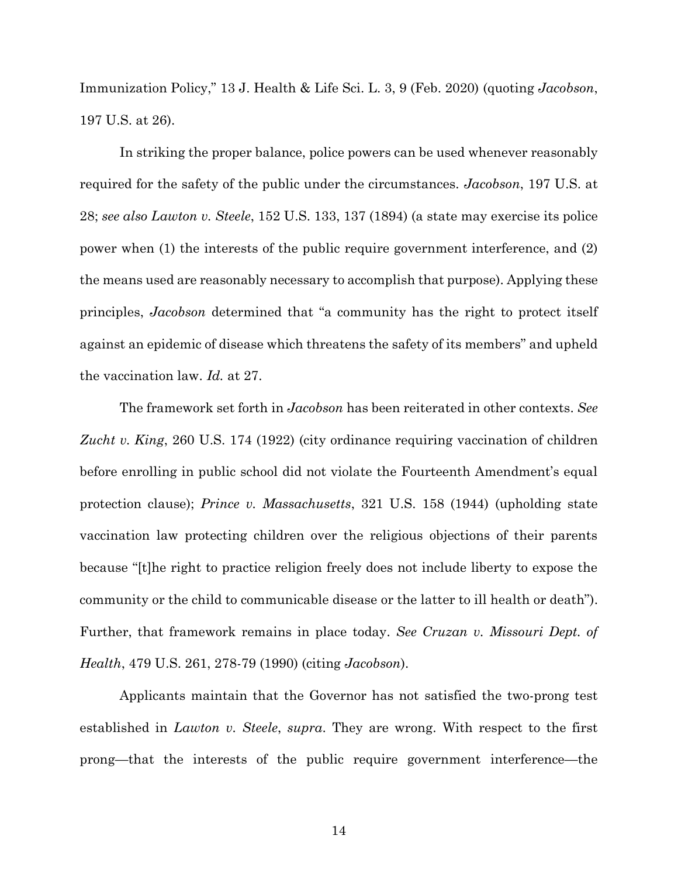Immunization Policy," 13 J. Health & Life Sci. L. 3, 9 (Feb. 2020) (quoting *Jacobson*, 197 U.S. at 26).

In striking the proper balance, police powers can be used whenever reasonably required for the safety of the public under the circumstances. *Jacobson*, 197 U.S. at 28; *see also Lawton v. Steele*, 152 U.S. 133, 137 (1894) (a state may exercise its police power when (1) the interests of the public require government interference, and (2) the means used are reasonably necessary to accomplish that purpose). Applying these principles, *Jacobson* determined that "a community has the right to protect itself against an epidemic of disease which threatens the safety of its members" and upheld the vaccination law. *Id.* at 27.

The framework set forth in *Jacobson* has been reiterated in other contexts. *See Zucht v. King*, 260 U.S. 174 (1922) (city ordinance requiring vaccination of children before enrolling in public school did not violate the Fourteenth Amendment's equal protection clause); *Prince v. Massachusetts*, 321 U.S. 158 (1944) (upholding state vaccination law protecting children over the religious objections of their parents because "[t]he right to practice religion freely does not include liberty to expose the community or the child to communicable disease or the latter to ill health or death"). Further, that framework remains in place today. *See Cruzan v. Missouri Dept. of Health*, 479 U.S. 261, 278-79 (1990) (citing *Jacobson*).

Applicants maintain that the Governor has not satisfied the two-prong test established in *Lawton v. Steele*, *supra*. They are wrong. With respect to the first prong—that the interests of the public require government interference—the

14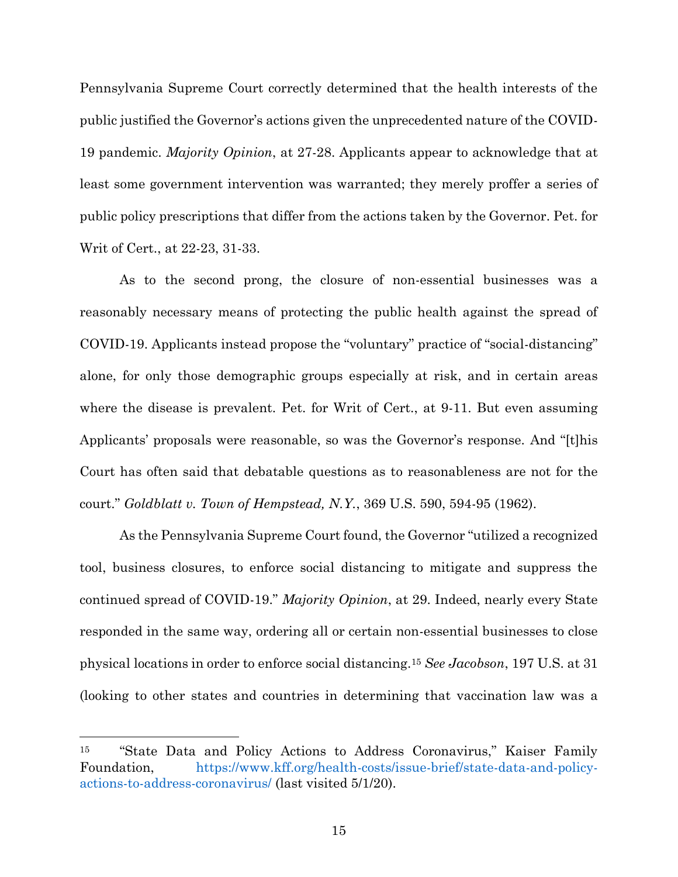Pennsylvania Supreme Court correctly determined that the health interests of the public justified the Governor's actions given the unprecedented nature of the COVID-19 pandemic. *Majority Opinion*, at 27-28. Applicants appear to acknowledge that at least some government intervention was warranted; they merely proffer a series of public policy prescriptions that differ from the actions taken by the Governor. Pet. for Writ of Cert., at 22-23, 31-33.

As to the second prong, the closure of non-essential businesses was a reasonably necessary means of protecting the public health against the spread of COVID-19. Applicants instead propose the "voluntary" practice of "social-distancing" alone, for only those demographic groups especially at risk, and in certain areas where the disease is prevalent. Pet. for Writ of Cert., at 9-11. But even assuming Applicants' proposals were reasonable, so was the Governor's response. And "[t]his Court has often said that debatable questions as to reasonableness are not for the court." *Goldblatt v. Town of Hempstead, N.Y.*, 369 U.S. 590, 594-95 (1962).

As the Pennsylvania Supreme Court found, the Governor "utilized a recognized tool, business closures, to enforce social distancing to mitigate and suppress the continued spread of COVID-19." *Majority Opinion*, at 29. Indeed, nearly every State responded in the same way, ordering all or certain non-essential businesses to close physical locations in order to enforce social distancing.<sup>15</sup> *See Jacobson*, 197 U.S. at 31 (looking to other states and countries in determining that vaccination law was a

<sup>15</sup> "State Data and Policy Actions to Address Coronavirus," Kaiser Family Foundation, [https://www.kff.org/health-costs/issue-brief/state-data-and-policy](https://www.kff.org/health-costs/issue-brief/state-data-and-policy-actions-to-address-coronavirus/)[actions-to-address-coronavirus/](https://www.kff.org/health-costs/issue-brief/state-data-and-policy-actions-to-address-coronavirus/) (last visited 5/1/20).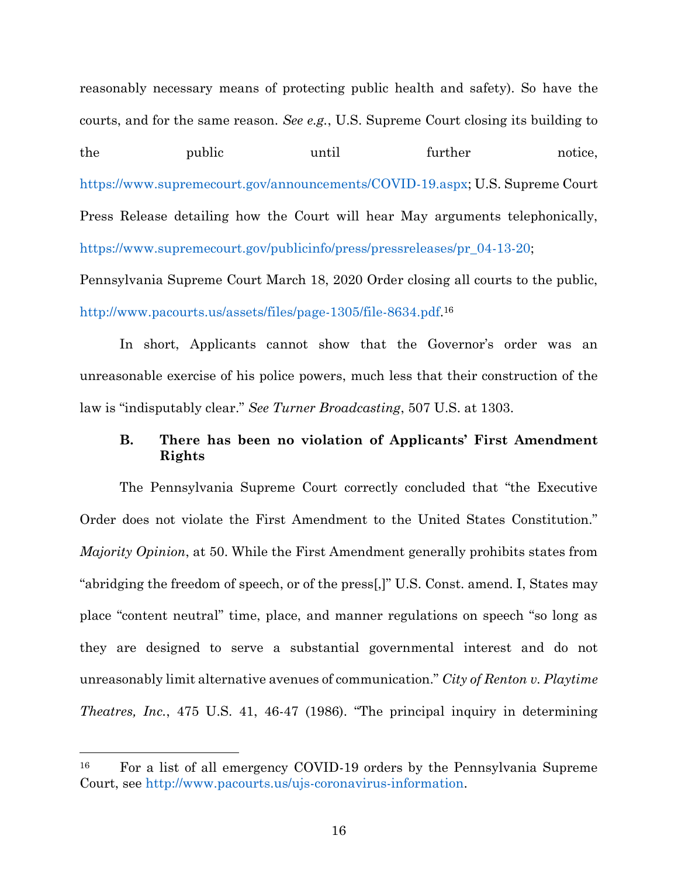reasonably necessary means of protecting public health and safety). So have the courts, and for the same reason. *See e.g.*, U.S. Supreme Court closing its building to the public until further notice, [https://www.supremecourt.gov/announcements/COVID-19.aspx;](https://www.supremecourt.gov/announcements/COVID-19.aspx) U.S. Supreme Court Press Release detailing how the Court will hear May arguments telephonically, [https://www.supremecourt.gov/publicinfo/press/pressreleases/pr\\_04-13-20;](https://www.supremecourt.gov/publicinfo/press/pressreleases/pr_04-13-20)

Pennsylvania Supreme Court March 18, 2020 Order closing all courts to the public, [http://www.pacourts.us/assets/files/page-1305/file-8634.pdf.](http://www.pacourts.us/assets/files/page-1305/file-8634.pdf) 16

In short, Applicants cannot show that the Governor's order was an unreasonable exercise of his police powers, much less that their construction of the law is "indisputably clear." *See Turner Broadcasting*, 507 U.S. at 1303.

### <span id="page-23-0"></span>**B. There has been no violation of Applicants' First Amendment Rights**

The Pennsylvania Supreme Court correctly concluded that "the Executive Order does not violate the First Amendment to the United States Constitution." *Majority Opinion*, at 50. While the First Amendment generally prohibits states from "abridging the freedom of speech, or of the press[,]" U.S. Const. amend. I, States may place "content neutral" time, place, and manner regulations on speech "so long as they are designed to serve a substantial governmental interest and do not unreasonably limit alternative avenues of communication." *City of Renton v. Playtime Theatres, Inc.*, 475 U.S. 41, 46-47 (1986). "The principal inquiry in determining

<sup>16</sup> For a list of all emergency COVID-19 orders by the Pennsylvania Supreme Court, see [http://www.pacourts.us/ujs-coronavirus-information.](http://www.pacourts.us/ujs-coronavirus-information)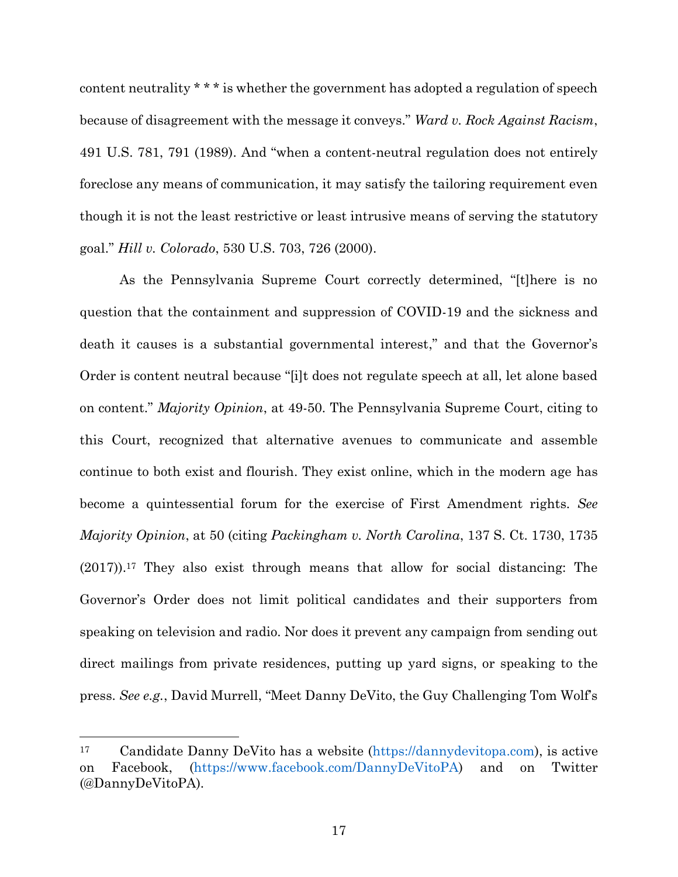content neutrality \* \* \* is whether the government has adopted a regulation of speech because of disagreement with the message it conveys." *Ward v. Rock Against Racism*, 491 U.S. 781, 791 (1989). And "when a content-neutral regulation does not entirely foreclose any means of communication, it may satisfy the tailoring requirement even though it is not the least restrictive or least intrusive means of serving the statutory goal." *Hill v. Colorado*, 530 U.S. 703, 726 (2000).

As the Pennsylvania Supreme Court correctly determined, "[t]here is no question that the containment and suppression of COVID-19 and the sickness and death it causes is a substantial governmental interest," and that the Governor's Order is content neutral because "[i]t does not regulate speech at all, let alone based on content." *Majority Opinion*, at 49-50. The Pennsylvania Supreme Court, citing to this Court, recognized that alternative avenues to communicate and assemble continue to both exist and flourish. They exist online, which in the modern age has become a quintessential forum for the exercise of First Amendment rights. *See Majority Opinion*, at 50 (citing *Packingham v. North Carolina*, 137 S. Ct. 1730, 1735 (2017)). <sup>17</sup> They also exist through means that allow for social distancing: The Governor's Order does not limit political candidates and their supporters from speaking on television and radio. Nor does it prevent any campaign from sending out direct mailings from private residences, putting up yard signs, or speaking to the press. *See e.g.*, David Murrell, "Meet Danny DeVito, the Guy Challenging Tom Wolf's

<sup>17</sup> Candidate Danny DeVito has a website [\(https://dannydevitopa.com\)](https://dannydevitopa.com/), is active on Facebook, [\(https://www.facebook.com/DannyDeVitoPA\)](https://www.facebook.com/DannyDeVitoPA) and on Twitter (@DannyDeVitoPA).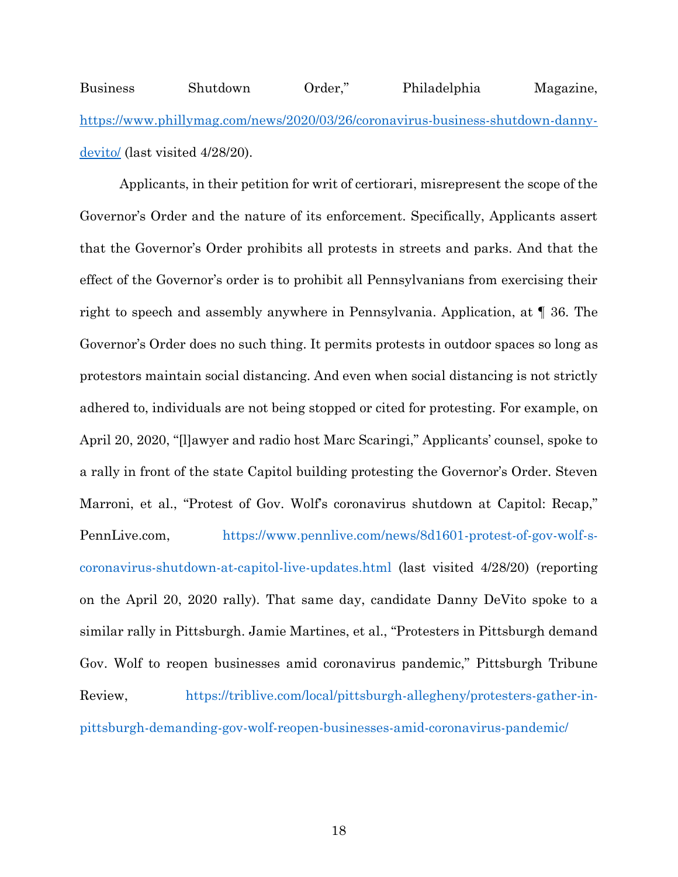Business Shutdown Order," Philadelphia Magazine, [https://www.phillymag.com/news/2020/03/26/coronavirus-business-shutdown-danny](https://www.phillymag.com/news/2020/03/26/coronavirus-business-shutdown-danny-devito/)[devito/](https://www.phillymag.com/news/2020/03/26/coronavirus-business-shutdown-danny-devito/) (last visited 4/28/20).

Applicants, in their petition for writ of certiorari, misrepresent the scope of the Governor's Order and the nature of its enforcement. Specifically, Applicants assert that the Governor's Order prohibits all protests in streets and parks. And that the effect of the Governor's order is to prohibit all Pennsylvanians from exercising their right to speech and assembly anywhere in Pennsylvania. Application, at ¶ 36. The Governor's Order does no such thing. It permits protests in outdoor spaces so long as protestors maintain social distancing. And even when social distancing is not strictly adhered to, individuals are not being stopped or cited for protesting. For example, on April 20, 2020, "[l]awyer and radio host Marc Scaringi," Applicants' counsel, spoke to a rally in front of the state Capitol building protesting the Governor's Order. Steven Marroni, et al., "Protest of Gov. Wolf's coronavirus shutdown at Capitol: Recap," PennLive.com, [https://www.pennlive.com/news/8d1601-protest-of-gov-wolf-s](https://www.pennlive.com/news/8d1601-protest-of-gov-wolf-s-coronavirus-shutdown-at-capitol-live-updates.html)[coronavirus-shutdown-at-capitol-live-updates.html](https://www.pennlive.com/news/8d1601-protest-of-gov-wolf-s-coronavirus-shutdown-at-capitol-live-updates.html) (last visited 4/28/20) (reporting on the April 20, 2020 rally). That same day, candidate Danny DeVito spoke to a similar rally in Pittsburgh. Jamie Martines, et al., "Protesters in Pittsburgh demand Gov. Wolf to reopen businesses amid coronavirus pandemic," Pittsburgh Tribune Review, [https://triblive.com/local/pittsburgh-allegheny/protesters-gather-in](https://triblive.com/local/pittsburgh-allegheny/protesters-gather-in-pittsburgh-demanding-gov-wolf-reopen-businesses-amid-coronavirus-pandemic/)[pittsburgh-demanding-gov-wolf-reopen-businesses-amid-coronavirus-pandemic/](https://triblive.com/local/pittsburgh-allegheny/protesters-gather-in-pittsburgh-demanding-gov-wolf-reopen-businesses-amid-coronavirus-pandemic/)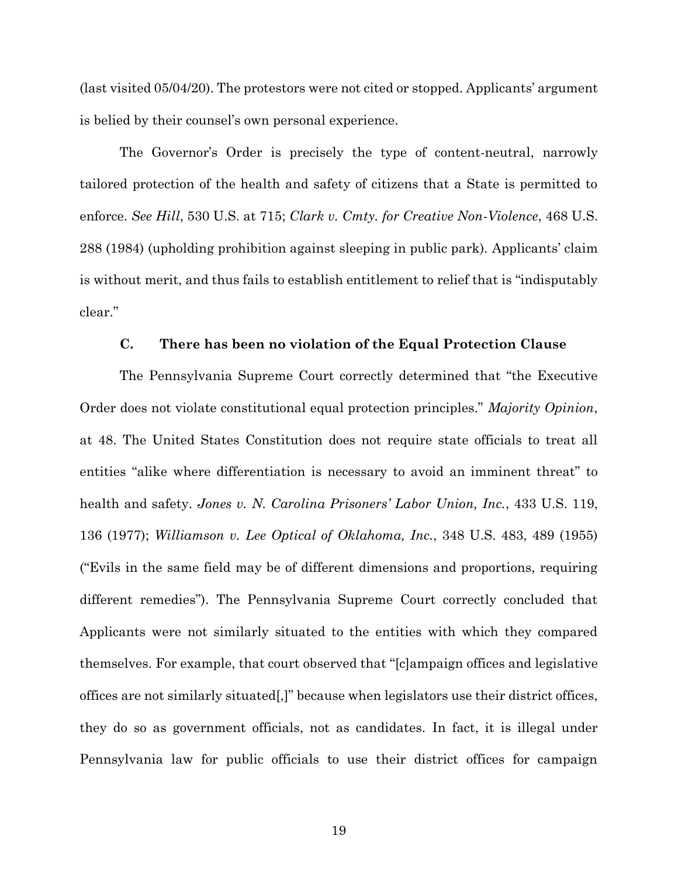(last visited 05/04/20). The protestors were not cited or stopped. Applicants' argument is belied by their counsel's own personal experience.

The Governor's Order is precisely the type of content-neutral, narrowly tailored protection of the health and safety of citizens that a State is permitted to enforce. *See Hill*, 530 U.S. at 715; *Clark v. Cmty. for Creative Non-Violence*, 468 U.S. 288 (1984) (upholding prohibition against sleeping in public park). Applicants' claim is without merit, and thus fails to establish entitlement to relief that is "indisputably clear."

#### **C. There has been no violation of the Equal Protection Clause**

<span id="page-26-0"></span>The Pennsylvania Supreme Court correctly determined that "the Executive Order does not violate constitutional equal protection principles." *Majority Opinion*, at 48. The United States Constitution does not require state officials to treat all entities "alike where differentiation is necessary to avoid an imminent threat" to health and safety. *Jones v. N. Carolina Prisoners' Labor Union, Inc.*, 433 U.S. 119, 136 (1977); *Williamson v. Lee Optical of Oklahoma, Inc.*, 348 U.S. 483, 489 (1955) ("Evils in the same field may be of different dimensions and proportions, requiring different remedies"). The Pennsylvania Supreme Court correctly concluded that Applicants were not similarly situated to the entities with which they compared themselves. For example, that court observed that "[c]ampaign offices and legislative offices are not similarly situated[,]" because when legislators use their district offices, they do so as government officials, not as candidates. In fact, it is illegal under Pennsylvania law for public officials to use their district offices for campaign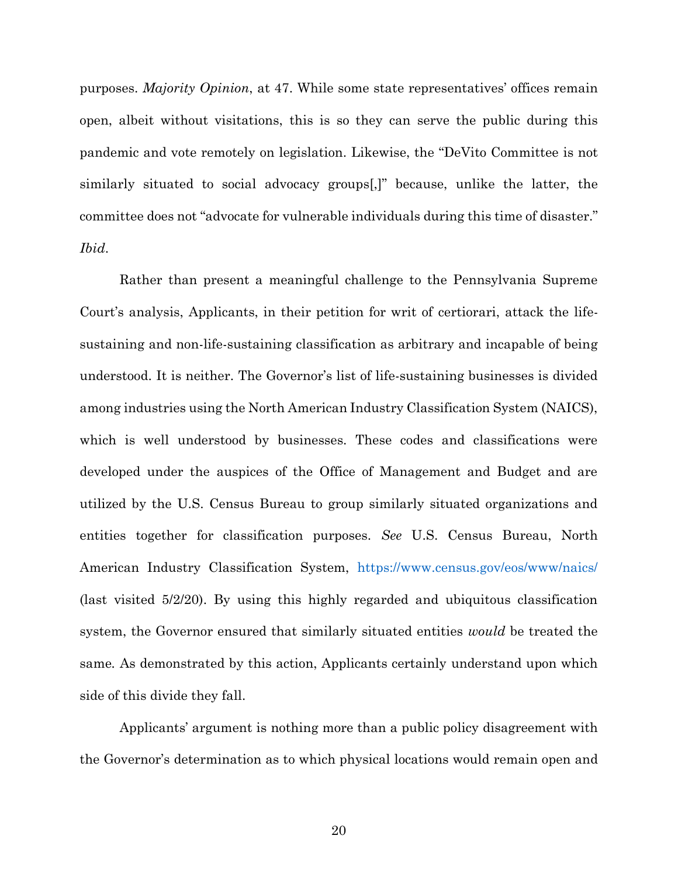purposes. *Majority Opinion*, at 47. While some state representatives' offices remain open, albeit without visitations, this is so they can serve the public during this pandemic and vote remotely on legislation. Likewise, the "DeVito Committee is not similarly situated to social advocacy groups[,]" because, unlike the latter, the committee does not "advocate for vulnerable individuals during this time of disaster." *Ibid*.

Rather than present a meaningful challenge to the Pennsylvania Supreme Court's analysis, Applicants, in their petition for writ of certiorari, attack the lifesustaining and non-life-sustaining classification as arbitrary and incapable of being understood. It is neither. The Governor's list of life-sustaining businesses is divided among industries using the North American Industry Classification System (NAICS), which is well understood by businesses. These codes and classifications were developed under the auspices of the Office of Management and Budget and are utilized by the U.S. Census Bureau to group similarly situated organizations and entities together for classification purposes. *See* U.S. Census Bureau, North American Industry Classification System, <https://www.census.gov/eos/www/naics/> (last visited 5/2/20). By using this highly regarded and ubiquitous classification system, the Governor ensured that similarly situated entities *would* be treated the same*.* As demonstrated by this action, Applicants certainly understand upon which side of this divide they fall.

Applicants' argument is nothing more than a public policy disagreement with the Governor's determination as to which physical locations would remain open and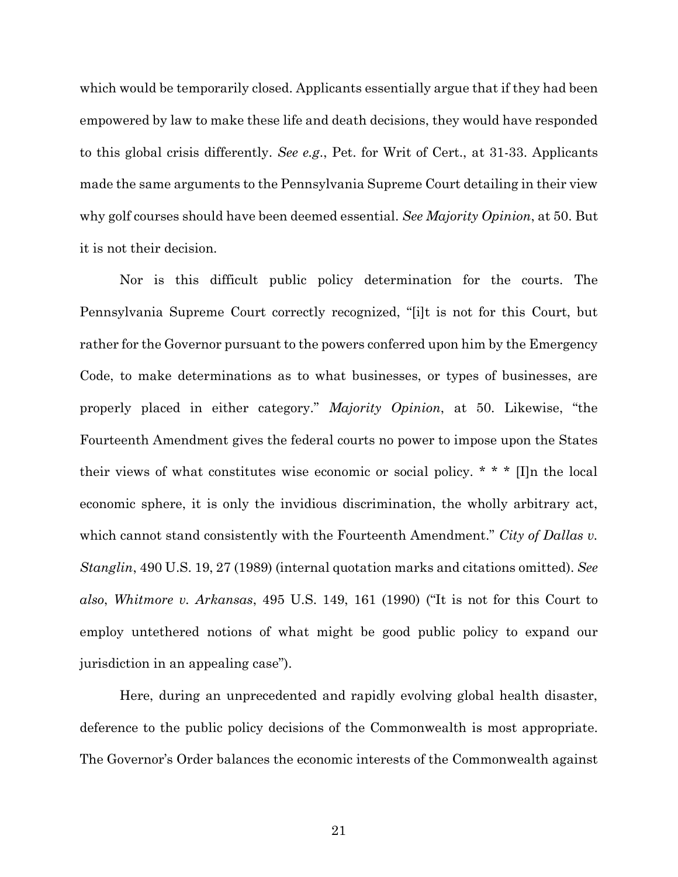which would be temporarily closed. Applicants essentially argue that if they had been empowered by law to make these life and death decisions, they would have responded to this global crisis differently. *See e.g*., Pet. for Writ of Cert., at 31-33. Applicants made the same arguments to the Pennsylvania Supreme Court detailing in their view why golf courses should have been deemed essential. *See Majority Opinion*, at 50. But it is not their decision.

Nor is this difficult public policy determination for the courts. The Pennsylvania Supreme Court correctly recognized, "[i]t is not for this Court, but rather for the Governor pursuant to the powers conferred upon him by the Emergency Code, to make determinations as to what businesses, or types of businesses, are properly placed in either category." *Majority Opinion*, at 50. Likewise, "the Fourteenth Amendment gives the federal courts no power to impose upon the States their views of what constitutes wise economic or social policy. \* \* \* [I]n the local economic sphere, it is only the invidious discrimination, the wholly arbitrary act, which cannot stand consistently with the Fourteenth Amendment." *City of Dallas v. Stanglin*, 490 U.S. 19, 27 (1989) (internal quotation marks and citations omitted). *See also*, *Whitmore v. Arkansas*, 495 U.S. 149, 161 (1990) ("It is not for this Court to employ untethered notions of what might be good public policy to expand our jurisdiction in an appealing case").

Here, during an unprecedented and rapidly evolving global health disaster, deference to the public policy decisions of the Commonwealth is most appropriate. The Governor's Order balances the economic interests of the Commonwealth against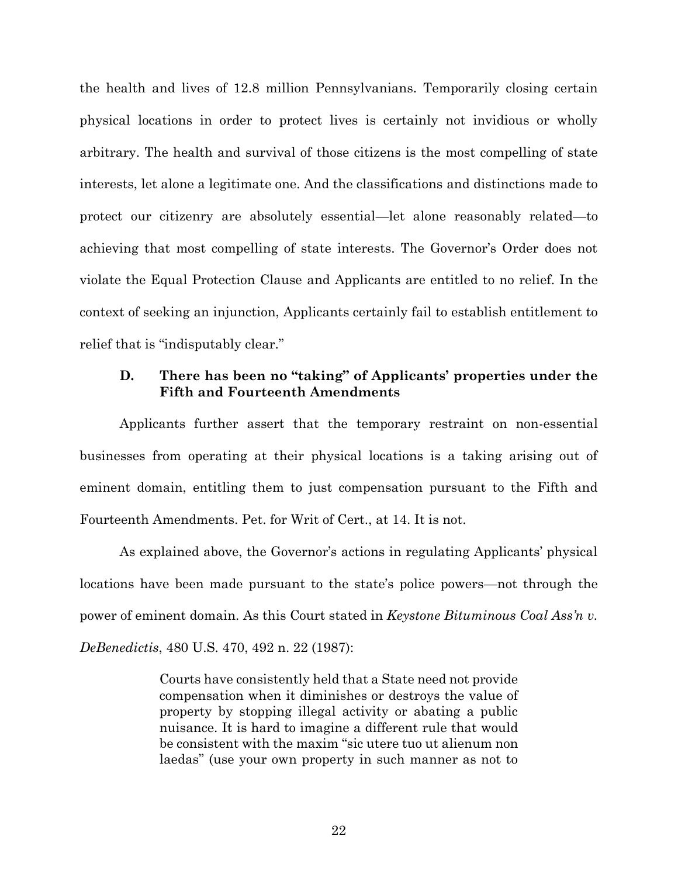the health and lives of 12.8 million Pennsylvanians. Temporarily closing certain physical locations in order to protect lives is certainly not invidious or wholly arbitrary. The health and survival of those citizens is the most compelling of state interests, let alone a legitimate one. And the classifications and distinctions made to protect our citizenry are absolutely essential—let alone reasonably related—to achieving that most compelling of state interests. The Governor's Order does not violate the Equal Protection Clause and Applicants are entitled to no relief. In the context of seeking an injunction, Applicants certainly fail to establish entitlement to relief that is "indisputably clear."

## <span id="page-29-0"></span>**D. There has been no "taking" of Applicants' properties under the Fifth and Fourteenth Amendments**

Applicants further assert that the temporary restraint on non-essential businesses from operating at their physical locations is a taking arising out of eminent domain, entitling them to just compensation pursuant to the Fifth and Fourteenth Amendments. Pet. for Writ of Cert., at 14. It is not.

As explained above, the Governor's actions in regulating Applicants' physical locations have been made pursuant to the state's police powers—not through the power of eminent domain. As this Court stated in *Keystone Bituminous Coal Ass'n v. DeBenedictis*, 480 U.S. 470, 492 n. 22 (1987):

> Courts have consistently held that a State need not provide compensation when it diminishes or destroys the value of property by stopping illegal activity or abating a public nuisance. It is hard to imagine a different rule that would be consistent with the maxim "sic utere tuo ut alienum non laedas" (use your own property in such manner as not to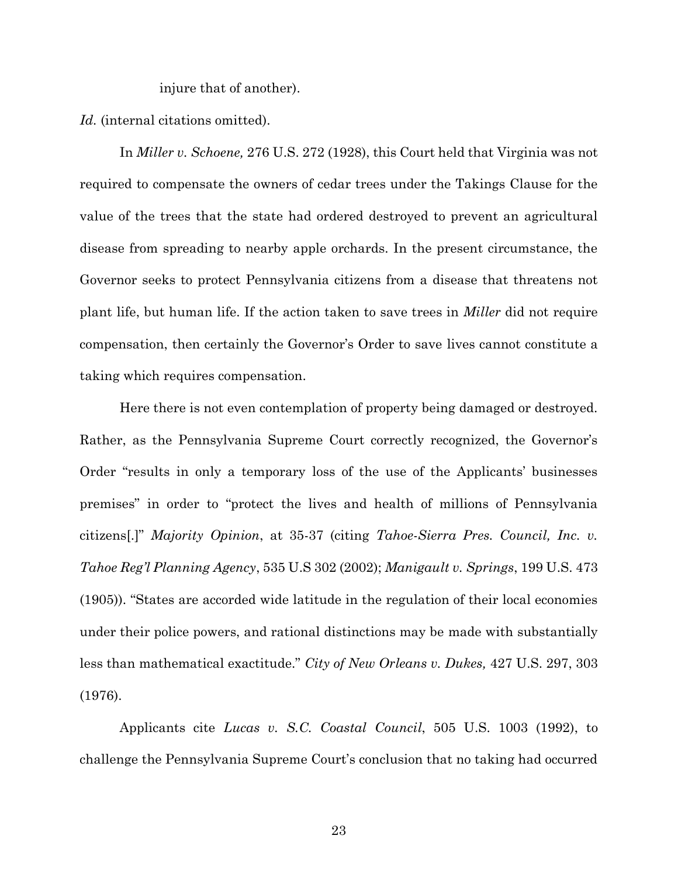injure that of another).

Id. (internal citations omitted).

In *Miller v. Schoene,* 276 U.S. 272 (1928), this Court held that Virginia was not required to compensate the owners of cedar trees under the Takings Clause for the value of the trees that the state had ordered destroyed to prevent an agricultural disease from spreading to nearby apple orchards. In the present circumstance, the Governor seeks to protect Pennsylvania citizens from a disease that threatens not plant life, but human life. If the action taken to save trees in *Miller* did not require compensation, then certainly the Governor's Order to save lives cannot constitute a taking which requires compensation.

Here there is not even contemplation of property being damaged or destroyed. Rather, as the Pennsylvania Supreme Court correctly recognized, the Governor's Order "results in only a temporary loss of the use of the Applicants' businesses premises" in order to "protect the lives and health of millions of Pennsylvania citizens[.]" *Majority Opinion*, at 35-37 (citing *Tahoe-Sierra Pres. Council, Inc. v. Tahoe Reg'l Planning Agency*, 535 U.S 302 (2002); *Manigault v. Springs*, 199 U.S. 473 (1905)). "States are accorded wide latitude in the regulation of their local economies under their police powers, and rational distinctions may be made with substantially less than mathematical exactitude." *City of New Orleans v. Dukes,* 427 U.S. 297, 303 (1976).

Applicants cite *Lucas v. S.C. Coastal Council*, 505 U.S. 1003 (1992), to challenge the Pennsylvania Supreme Court's conclusion that no taking had occurred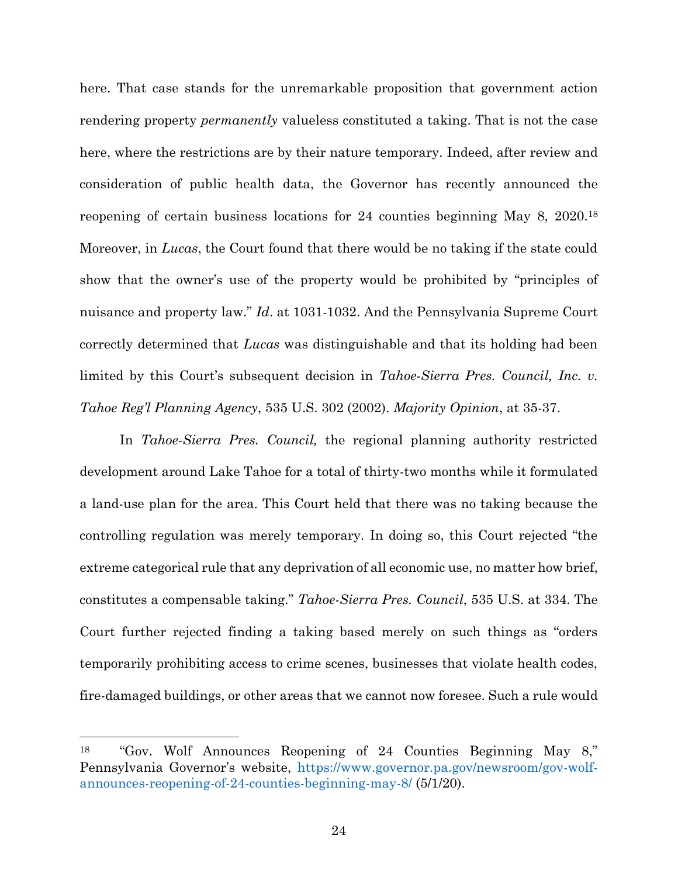here. That case stands for the unremarkable proposition that government action rendering property *permanently* valueless constituted a taking. That is not the case here, where the restrictions are by their nature temporary. Indeed, after review and consideration of public health data, the Governor has recently announced the reopening of certain business locations for 24 counties beginning May 8, 2020.<sup>18</sup> Moreover, in *Lucas*, the Court found that there would be no taking if the state could show that the owner's use of the property would be prohibited by "principles of nuisance and property law." *Id*. at 1031-1032. And the Pennsylvania Supreme Court correctly determined that *Lucas* was distinguishable and that its holding had been limited by this Court's subsequent decision in *Tahoe-Sierra Pres. Council, Inc. v. Tahoe Reg'l Planning Agency*, 535 U.S. 302 (2002). *Majority Opinion*, at 35-37.

In *Tahoe-Sierra Pres. Council,* the regional planning authority restricted development around Lake Tahoe for a total of thirty-two months while it formulated a land-use plan for the area. This Court held that there was no taking because the controlling regulation was merely temporary. In doing so, this Court rejected "the extreme categorical rule that any deprivation of all economic use, no matter how brief, constitutes a compensable taking." *Tahoe-Sierra Pres. Council*, 535 U.S. at 334. The Court further rejected finding a taking based merely on such things as "orders temporarily prohibiting access to crime scenes, businesses that violate health codes, fire-damaged buildings, or other areas that we cannot now foresee. Such a rule would

<sup>18</sup> "Gov. Wolf Announces Reopening of 24 Counties Beginning May 8," Pennsylvania Governor's website, [https://www.governor.pa.gov/newsroom/gov-wolf](https://www.governor.pa.gov/newsroom/gov-wolf-announces-reopening-of-24-counties-beginning-may-8/)[announces-reopening-of-24-counties-beginning-may-8/](https://www.governor.pa.gov/newsroom/gov-wolf-announces-reopening-of-24-counties-beginning-may-8/) (5/1/20).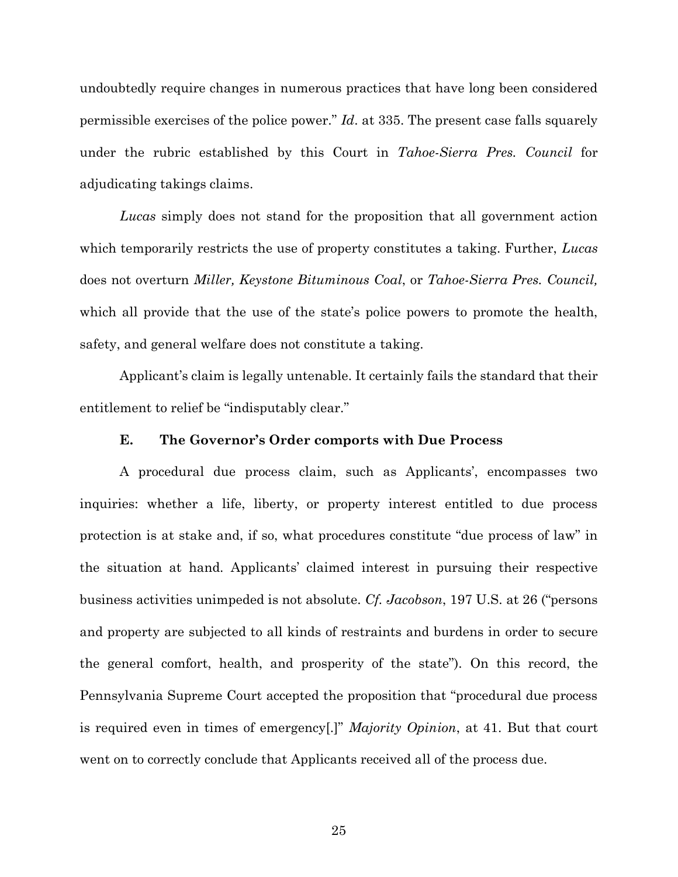undoubtedly require changes in numerous practices that have long been considered permissible exercises of the police power." *Id*. at 335. The present case falls squarely under the rubric established by this Court in *Tahoe-Sierra Pres. Council* for adjudicating takings claims.

*Lucas* simply does not stand for the proposition that all government action which temporarily restricts the use of property constitutes a taking. Further, *Lucas* does not overturn *Miller, Keystone Bituminous Coal*, or *Tahoe-Sierra Pres. Council,* which all provide that the use of the state's police powers to promote the health, safety, and general welfare does not constitute a taking.

Applicant's claim is legally untenable. It certainly fails the standard that their entitlement to relief be "indisputably clear."

#### **E. The Governor's Order comports with Due Process**

<span id="page-32-0"></span>A procedural due process claim, such as Applicants', encompasses two inquiries: whether a life, liberty, or property interest entitled to due process protection is at stake and, if so, what procedures constitute "due process of law" in the situation at hand. Applicants' claimed interest in pursuing their respective business activities unimpeded is not absolute. *Cf. Jacobson*, 197 U.S. at 26 ("persons and property are subjected to all kinds of restraints and burdens in order to secure the general comfort, health, and prosperity of the state"). On this record, the Pennsylvania Supreme Court accepted the proposition that "procedural due process is required even in times of emergency[.]" *Majority Opinion*, at 41. But that court went on to correctly conclude that Applicants received all of the process due.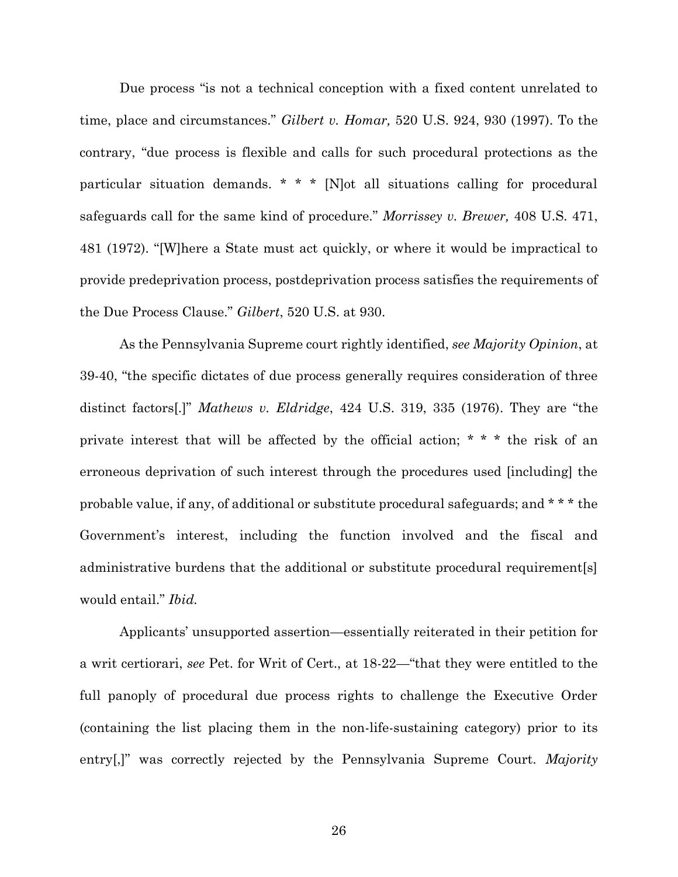Due process "is not a technical conception with a fixed content unrelated to time, place and circumstances." *Gilbert v. Homar,* 520 U.S. 924, 930 (1997). To the contrary, "due process is flexible and calls for such procedural protections as the particular situation demands. \* \* \* [N]ot all situations calling for procedural safeguards call for the same kind of procedure." *Morrissey v. Brewer,* 408 U.S. 471, 481 (1972). "[W]here a State must act quickly, or where it would be impractical to provide predeprivation process, postdeprivation process satisfies the requirements of the Due Process Clause." *Gilbert*, 520 U.S. at 930.

As the Pennsylvania Supreme court rightly identified, *see Majority Opinion*, at 39-40, "the specific dictates of due process generally requires consideration of three distinct factors[.]" *Mathews v. Eldridge*, 424 U.S. 319, 335 (1976). They are "the private interest that will be affected by the official action; \* \* \* the risk of an erroneous deprivation of such interest through the procedures used [including] the probable value, if any, of additional or substitute procedural safeguards; and \* \* \* the Government's interest, including the function involved and the fiscal and administrative burdens that the additional or substitute procedural requirement[s] would entail." *Ibid.*

Applicants' unsupported assertion—essentially reiterated in their petition for a writ certiorari, *see* Pet. for Writ of Cert., at 18-22—"that they were entitled to the full panoply of procedural due process rights to challenge the Executive Order (containing the list placing them in the non-life-sustaining category) prior to its entry[,]" was correctly rejected by the Pennsylvania Supreme Court. *Majority* 

26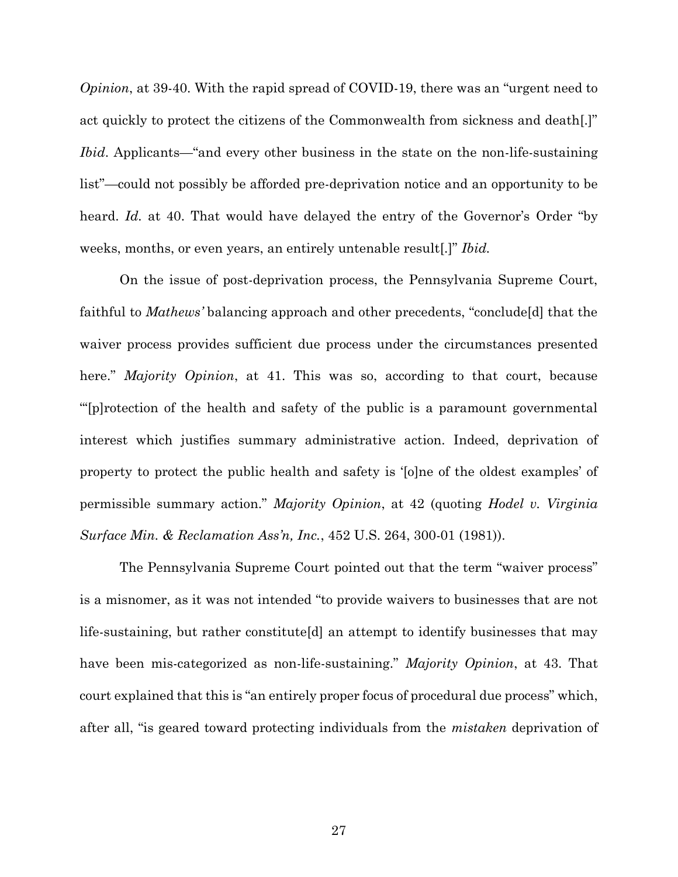*Opinion*, at 39-40. With the rapid spread of COVID-19, there was an "urgent need to act quickly to protect the citizens of the Commonwealth from sickness and death[.]" *Ibid*. Applicants—"and every other business in the state on the non-life-sustaining list"—could not possibly be afforded pre-deprivation notice and an opportunity to be heard. *Id.* at 40. That would have delayed the entry of the Governor's Order "by weeks, months, or even years, an entirely untenable result[.]" *Ibid.*

On the issue of post-deprivation process, the Pennsylvania Supreme Court, faithful to *Mathews'* balancing approach and other precedents, "conclude[d] that the waiver process provides sufficient due process under the circumstances presented here." *Majority Opinion*, at 41. This was so, according to that court, because "'[p]rotection of the health and safety of the public is a paramount governmental interest which justifies summary administrative action. Indeed, deprivation of property to protect the public health and safety is '[o]ne of the oldest examples' of permissible summary action." *Majority Opinion*, at 42 (quoting *Hodel v. Virginia Surface Min. & Reclamation Ass'n, Inc.*, 452 U.S. 264, 300-01 (1981)).

The Pennsylvania Supreme Court pointed out that the term "waiver process" is a misnomer, as it was not intended "to provide waivers to businesses that are not life-sustaining, but rather constitute[d] an attempt to identify businesses that may have been mis-categorized as non-life-sustaining." *Majority Opinion*, at 43. That court explained that this is "an entirely proper focus of procedural due process" which, after all, "is geared toward protecting individuals from the *mistaken* deprivation of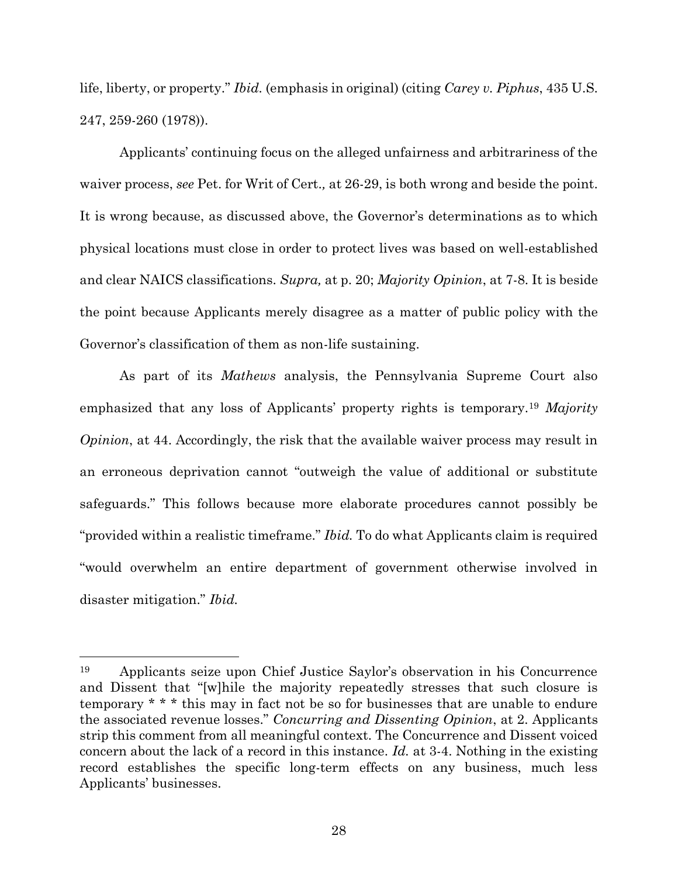life, liberty, or property." *Ibid.* (emphasis in original) (citing *Carey v. Piphus*, 435 U.S. 247, 259-260 (1978)).

Applicants' continuing focus on the alleged unfairness and arbitrariness of the waiver process, *see* Pet. for Writ of Cert.*,* at 26-29, is both wrong and beside the point. It is wrong because, as discussed above, the Governor's determinations as to which physical locations must close in order to protect lives was based on well-established and clear NAICS classifications. *Supra,* at p. 20; *Majority Opinion*, at 7-8. It is beside the point because Applicants merely disagree as a matter of public policy with the Governor's classification of them as non-life sustaining.

As part of its *Mathews* analysis, the Pennsylvania Supreme Court also emphasized that any loss of Applicants' property rights is temporary.<sup>19</sup> *Majority Opinion*, at 44. Accordingly, the risk that the available waiver process may result in an erroneous deprivation cannot "outweigh the value of additional or substitute safeguards." This follows because more elaborate procedures cannot possibly be "provided within a realistic timeframe." *Ibid.* To do what Applicants claim is required "would overwhelm an entire department of government otherwise involved in disaster mitigation." *Ibid.*

<sup>19</sup> Applicants seize upon Chief Justice Saylor's observation in his Concurrence and Dissent that "[w]hile the majority repeatedly stresses that such closure is temporary \* \* \* this may in fact not be so for businesses that are unable to endure the associated revenue losses." *Concurring and Dissenting Opinion*, at 2. Applicants strip this comment from all meaningful context. The Concurrence and Dissent voiced concern about the lack of a record in this instance. *Id.* at 3-4. Nothing in the existing record establishes the specific long-term effects on any business, much less Applicants' businesses.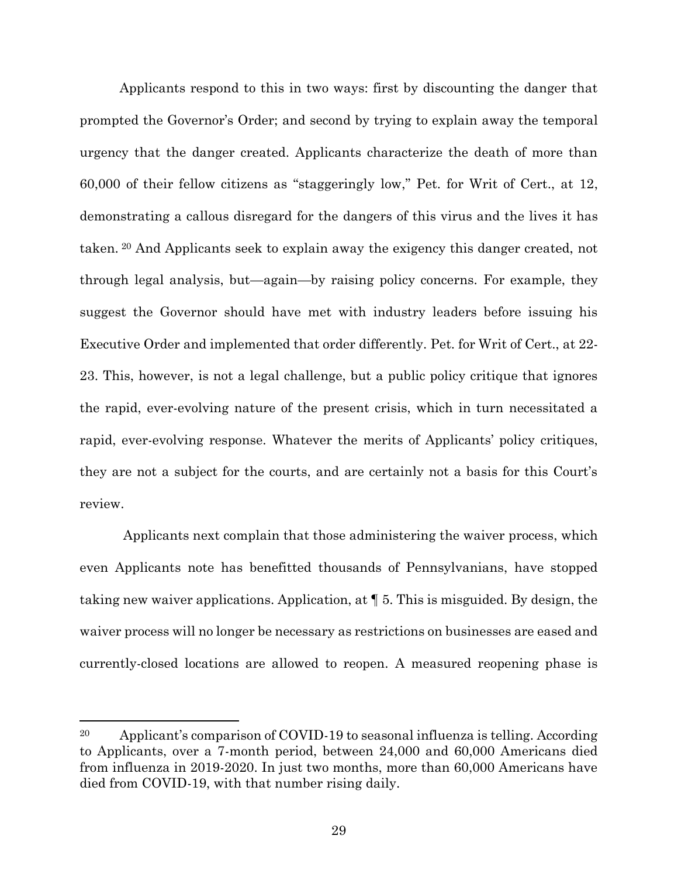Applicants respond to this in two ways: first by discounting the danger that prompted the Governor's Order; and second by trying to explain away the temporal urgency that the danger created. Applicants characterize the death of more than 60,000 of their fellow citizens as "staggeringly low," Pet. for Writ of Cert., at 12, demonstrating a callous disregard for the dangers of this virus and the lives it has taken. <sup>20</sup> And Applicants seek to explain away the exigency this danger created, not through legal analysis, but—again—by raising policy concerns. For example, they suggest the Governor should have met with industry leaders before issuing his Executive Order and implemented that order differently. Pet. for Writ of Cert., at 22- 23. This, however, is not a legal challenge, but a public policy critique that ignores the rapid, ever-evolving nature of the present crisis, which in turn necessitated a rapid, ever-evolving response. Whatever the merits of Applicants' policy critiques, they are not a subject for the courts, and are certainly not a basis for this Court's review.

Applicants next complain that those administering the waiver process, which even Applicants note has benefitted thousands of Pennsylvanians, have stopped taking new waiver applications. Application, at ¶ 5. This is misguided. By design, the waiver process will no longer be necessary as restrictions on businesses are eased and currently-closed locations are allowed to reopen. A measured reopening phase is

<sup>20</sup> Applicant's comparison of COVID-19 to seasonal influenza is telling. According to Applicants, over a 7-month period, between 24,000 and 60,000 Americans died from influenza in 2019-2020. In just two months, more than 60,000 Americans have died from COVID-19, with that number rising daily.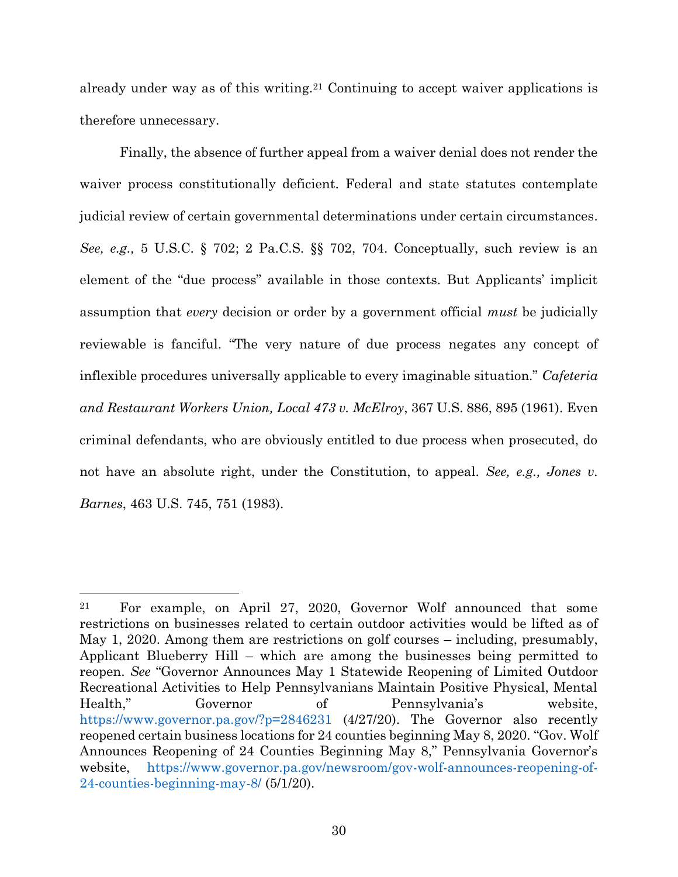already under way as of this writing.<sup>21</sup> Continuing to accept waiver applications is therefore unnecessary.

Finally, the absence of further appeal from a waiver denial does not render the waiver process constitutionally deficient. Federal and state statutes contemplate judicial review of certain governmental determinations under certain circumstances. *See, e.g.,* 5 U.S.C. § 702; 2 Pa.C.S. §§ 702, 704. Conceptually, such review is an element of the "due process" available in those contexts. But Applicants' implicit assumption that *every* decision or order by a government official *must* be judicially reviewable is fanciful. "The very nature of due process negates any concept of inflexible procedures universally applicable to every imaginable situation." *Cafeteria and Restaurant Workers Union, Local 473 v. McElroy*, 367 U.S. 886, 895 (1961). Even criminal defendants, who are obviously entitled to due process when prosecuted, do not have an absolute right, under the Constitution, to appeal. *See, e.g., Jones v. Barnes*, 463 U.S. 745, 751 (1983).

<sup>21</sup> For example, on April 27, 2020, Governor Wolf announced that some restrictions on businesses related to certain outdoor activities would be lifted as of May 1, 2020. Among them are restrictions on golf courses – including, presumably, Applicant Blueberry Hill – which are among the businesses being permitted to reopen. *See* "Governor Announces May 1 Statewide Reopening of Limited Outdoor Recreational Activities to Help Pennsylvanians Maintain Positive Physical, Mental Health," Governor of Pennsylvania's website, <https://www.governor.pa.gov/?p=2846231> (4/27/20). The Governor also recently reopened certain business locations for 24 counties beginning May 8, 2020. "Gov. Wolf Announces Reopening of 24 Counties Beginning May 8," Pennsylvania Governor's website, [https://www.governor.pa.gov/newsroom/gov-wolf-announces-reopening-of-](https://www.governor.pa.gov/newsroom/gov-wolf-announces-reopening-of-24-counties-beginning-may-8/)[24-counties-beginning-may-8/](https://www.governor.pa.gov/newsroom/gov-wolf-announces-reopening-of-24-counties-beginning-may-8/) (5/1/20).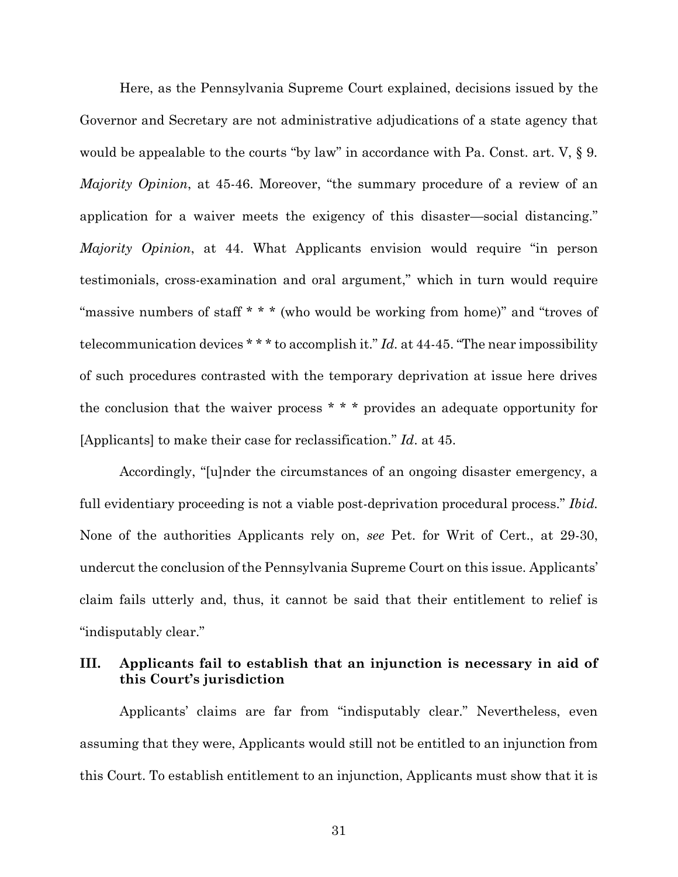Here, as the Pennsylvania Supreme Court explained, decisions issued by the Governor and Secretary are not administrative adjudications of a state agency that would be appealable to the courts "by law" in accordance with Pa. Const. art. V,  $\S$  9. *Majority Opinion*, at 45-46. Moreover, "the summary procedure of a review of an application for a waiver meets the exigency of this disaster—social distancing." *Majority Opinion*, at 44. What Applicants envision would require "in person testimonials, cross-examination and oral argument," which in turn would require "massive numbers of staff \* \* \* (who would be working from home)" and "troves of telecommunication devices \* \* \* to accomplish it." *Id.* at 44-45. "The near impossibility of such procedures contrasted with the temporary deprivation at issue here drives the conclusion that the waiver process \* \* \* provides an adequate opportunity for [Applicants] to make their case for reclassification." *Id*. at 45.

Accordingly, "[u]nder the circumstances of an ongoing disaster emergency, a full evidentiary proceeding is not a viable post-deprivation procedural process." *Ibid.* None of the authorities Applicants rely on, *see* Pet. for Writ of Cert., at 29-30, undercut the conclusion of the Pennsylvania Supreme Court on this issue. Applicants' claim fails utterly and, thus, it cannot be said that their entitlement to relief is "indisputably clear."

## <span id="page-38-0"></span>**III. Applicants fail to establish that an injunction is necessary in aid of this Court's jurisdiction**

Applicants' claims are far from "indisputably clear." Nevertheless, even assuming that they were, Applicants would still not be entitled to an injunction from this Court. To establish entitlement to an injunction, Applicants must show that it is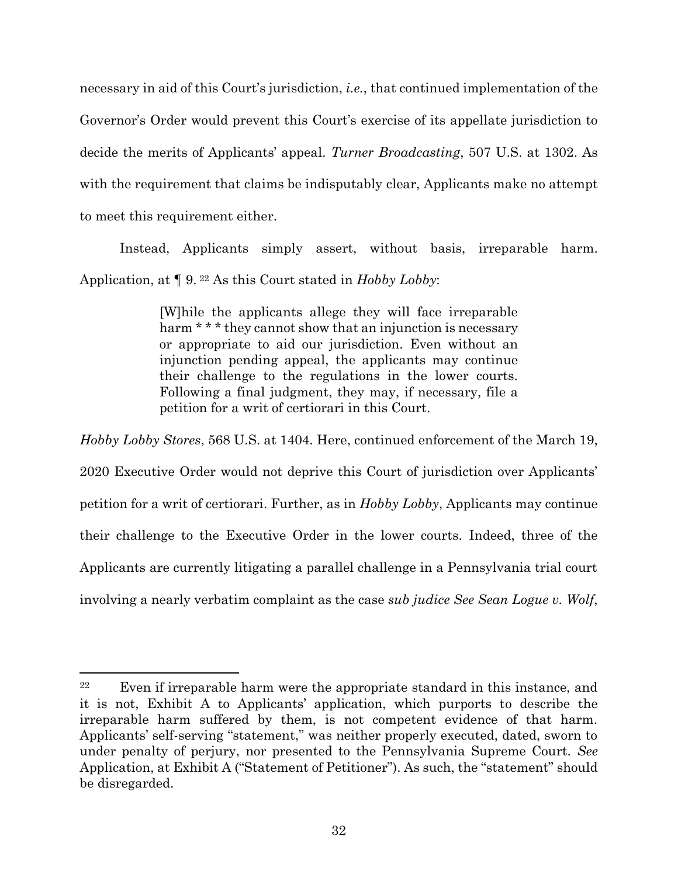necessary in aid of this Court's jurisdiction, *i.e.*, that continued implementation of the Governor's Order would prevent this Court's exercise of its appellate jurisdiction to decide the merits of Applicants' appeal. *Turner Broadcasting*, 507 U.S. at 1302. As with the requirement that claims be indisputably clear, Applicants make no attempt to meet this requirement either.

Instead, Applicants simply assert, without basis, irreparable harm. Application, at ¶ 9. <sup>22</sup> As this Court stated in *Hobby Lobby*:

> [W]hile the applicants allege they will face irreparable harm \* \* \* they cannot show that an injunction is necessary or appropriate to aid our jurisdiction. Even without an injunction pending appeal, the applicants may continue their challenge to the regulations in the lower courts. Following a final judgment, they may, if necessary, file a petition for a writ of certiorari in this Court.

*Hobby Lobby Stores*, 568 U.S. at 1404. Here, continued enforcement of the March 19, 2020 Executive Order would not deprive this Court of jurisdiction over Applicants' petition for a writ of certiorari. Further, as in *Hobby Lobby*, Applicants may continue their challenge to the Executive Order in the lower courts. Indeed, three of the Applicants are currently litigating a parallel challenge in a Pennsylvania trial court involving a nearly verbatim complaint as the case *sub judice See Sean Logue v. Wolf*,

<sup>&</sup>lt;sup>22</sup> Even if irreparable harm were the appropriate standard in this instance, and it is not, Exhibit A to Applicants' application, which purports to describe the irreparable harm suffered by them, is not competent evidence of that harm. Applicants' self-serving "statement," was neither properly executed, dated, sworn to under penalty of perjury, nor presented to the Pennsylvania Supreme Court. *See*  Application, at Exhibit A ("Statement of Petitioner"). As such, the "statement" should be disregarded.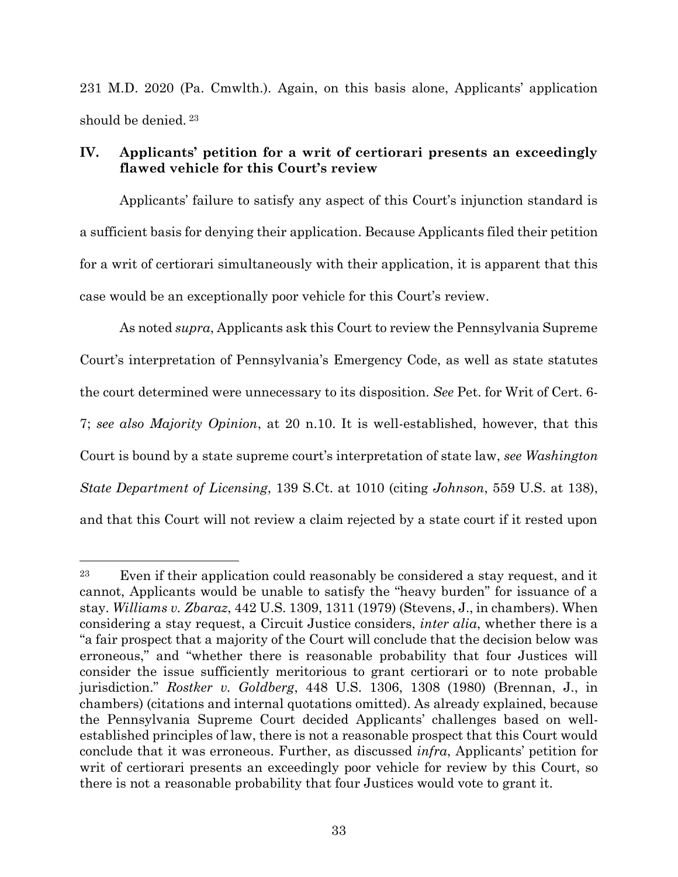231 M.D. 2020 (Pa. Cmwlth.). Again, on this basis alone, Applicants' application should be denied. <sup>23</sup>

## <span id="page-40-0"></span>**IV. Applicants' petition for a writ of certiorari presents an exceedingly flawed vehicle for this Court's review**

Applicants' failure to satisfy any aspect of this Court's injunction standard is a sufficient basis for denying their application. Because Applicants filed their petition for a writ of certiorari simultaneously with their application, it is apparent that this case would be an exceptionally poor vehicle for this Court's review.

As noted *supra*, Applicants ask this Court to review the Pennsylvania Supreme Court's interpretation of Pennsylvania's Emergency Code, as well as state statutes the court determined were unnecessary to its disposition. *See* Pet. for Writ of Cert. 6- 7; *see also Majority Opinion*, at 20 n.10. It is well-established, however, that this Court is bound by a state supreme court's interpretation of state law, *see Washington State Department of Licensing*, 139 S.Ct. at 1010 (citing *Johnson*, 559 U.S. at 138), and that this Court will not review a claim rejected by a state court if it rested upon

<sup>23</sup> Even if their application could reasonably be considered a stay request, and it cannot, Applicants would be unable to satisfy the "heavy burden" for issuance of a stay. *Williams v. Zbaraz*, 442 U.S. 1309, 1311 (1979) (Stevens, J., in chambers). When considering a stay request, a Circuit Justice considers, *inter alia*, whether there is a "a fair prospect that a majority of the Court will conclude that the decision below was erroneous," and "whether there is reasonable probability that four Justices will consider the issue sufficiently meritorious to grant certiorari or to note probable jurisdiction." *Rostker v. Goldberg*, 448 U.S. 1306, 1308 (1980) (Brennan, J., in chambers) (citations and internal quotations omitted). As already explained, because the Pennsylvania Supreme Court decided Applicants' challenges based on wellestablished principles of law, there is not a reasonable prospect that this Court would conclude that it was erroneous. Further, as discussed *infra*, Applicants' petition for writ of certiorari presents an exceedingly poor vehicle for review by this Court, so there is not a reasonable probability that four Justices would vote to grant it.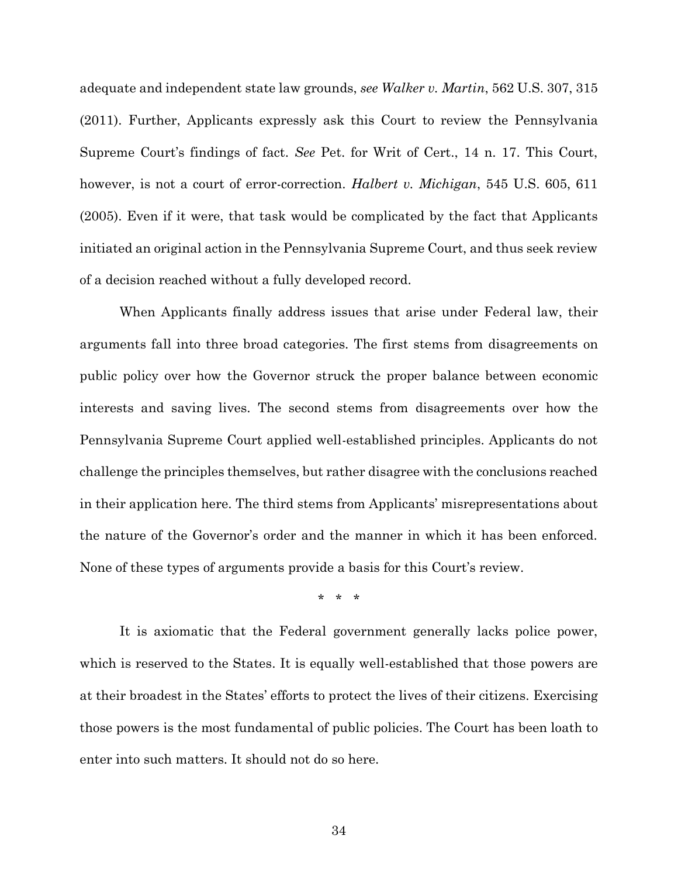adequate and independent state law grounds, *see Walker v. Martin*, 562 U.S. 307, 315 (2011). Further, Applicants expressly ask this Court to review the Pennsylvania Supreme Court's findings of fact. *See* Pet. for Writ of Cert., 14 n. 17. This Court, however, is not a court of error-correction. *Halbert v. Michigan*, 545 U.S. 605, 611 (2005). Even if it were, that task would be complicated by the fact that Applicants initiated an original action in the Pennsylvania Supreme Court, and thus seek review of a decision reached without a fully developed record.

When Applicants finally address issues that arise under Federal law, their arguments fall into three broad categories. The first stems from disagreements on public policy over how the Governor struck the proper balance between economic interests and saving lives. The second stems from disagreements over how the Pennsylvania Supreme Court applied well-established principles. Applicants do not challenge the principles themselves, but rather disagree with the conclusions reached in their application here. The third stems from Applicants' misrepresentations about the nature of the Governor's order and the manner in which it has been enforced. None of these types of arguments provide a basis for this Court's review.

\* \* \*

It is axiomatic that the Federal government generally lacks police power, which is reserved to the States. It is equally well-established that those powers are at their broadest in the States' efforts to protect the lives of their citizens. Exercising those powers is the most fundamental of public policies. The Court has been loath to enter into such matters. It should not do so here.

34